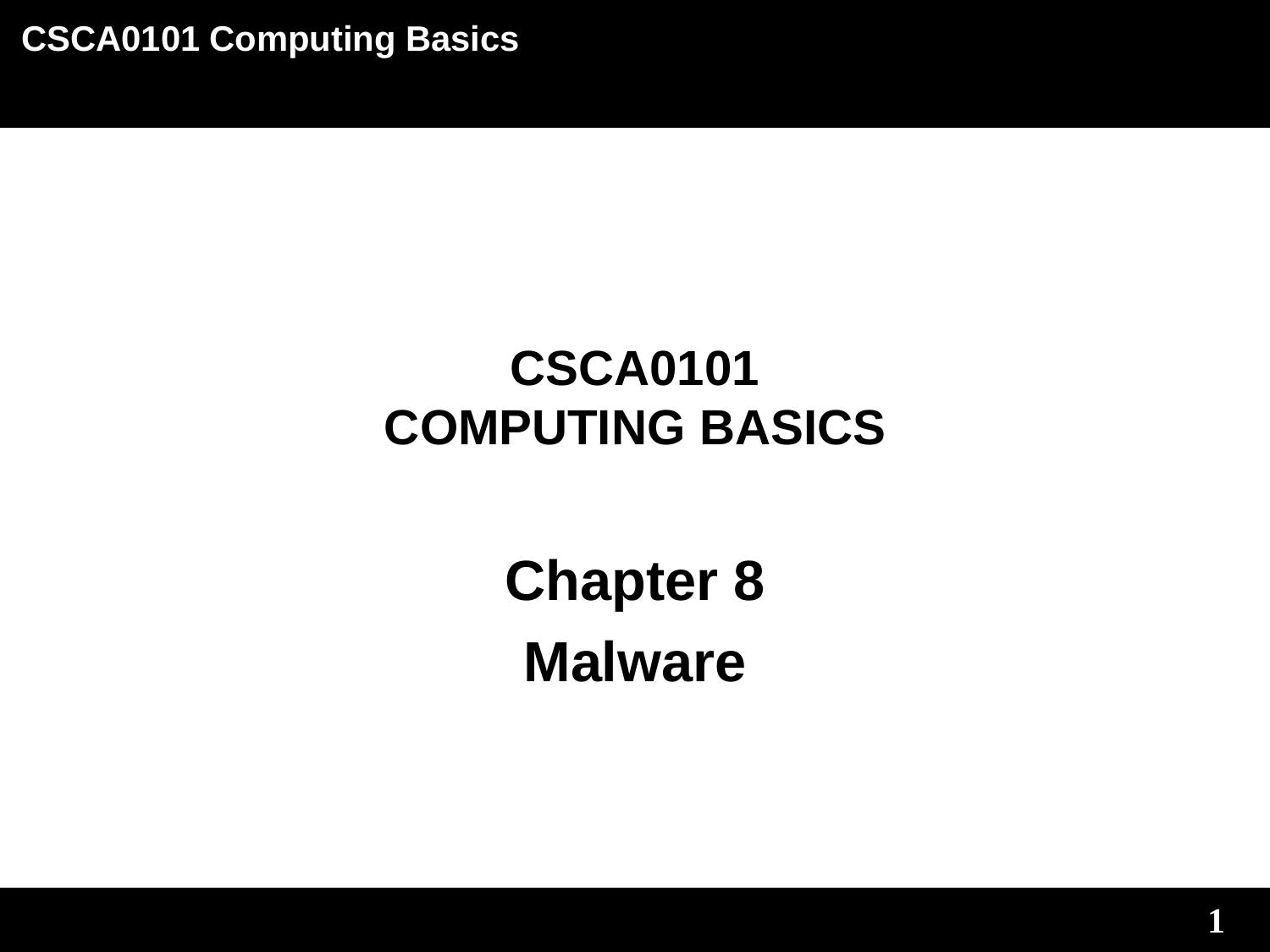# **CSCA0101 COMPUTING BASICS**

**Chapter 8 Malware**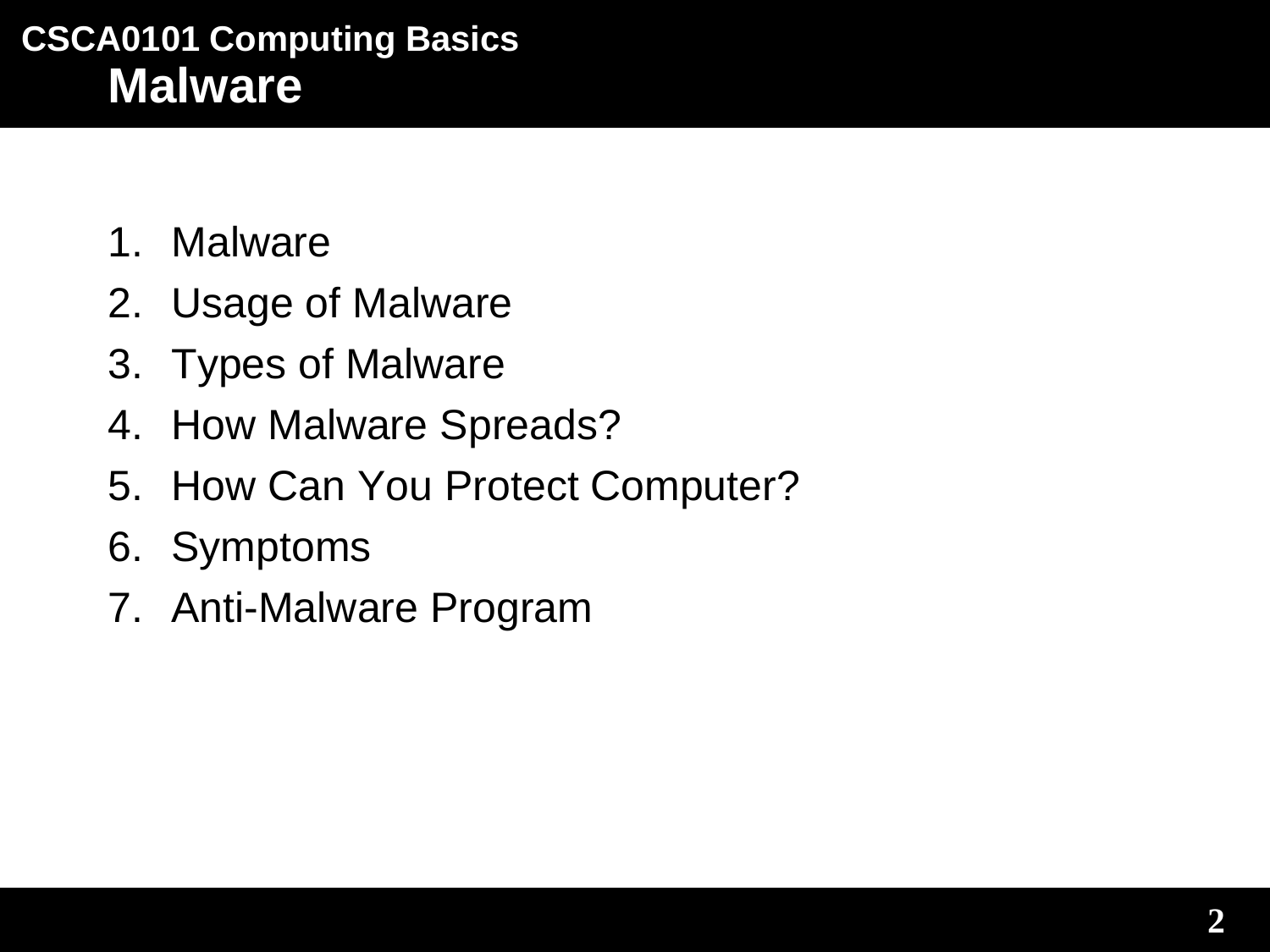- 1. Malware
- 2. Usage of Malware
- 3. Types of Malware
- 4. How Malware Spreads?
- 5. How Can You Protect Computer?
- 6. Symptoms
- 7. Anti-Malware Program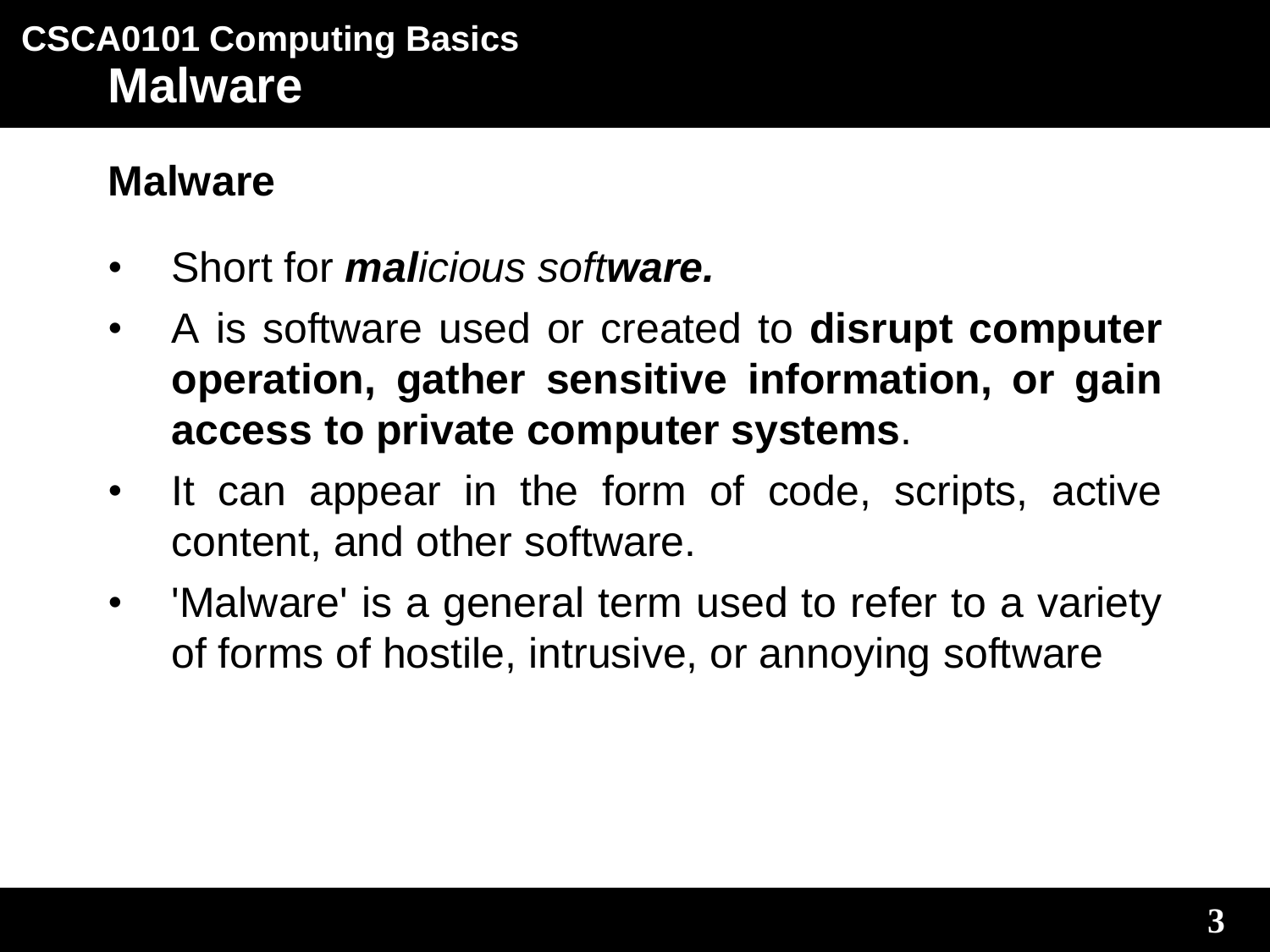### **Malware**

- Short for *malicious software.*
- A is software used or created to **disrupt computer operation, gather sensitive information, or gain access to private computer systems**.
- It can appear in the form of code, scripts, active content, and other software.
- 'Malware' is a general term used to refer to a variety of forms of hostile, intrusive, or annoying software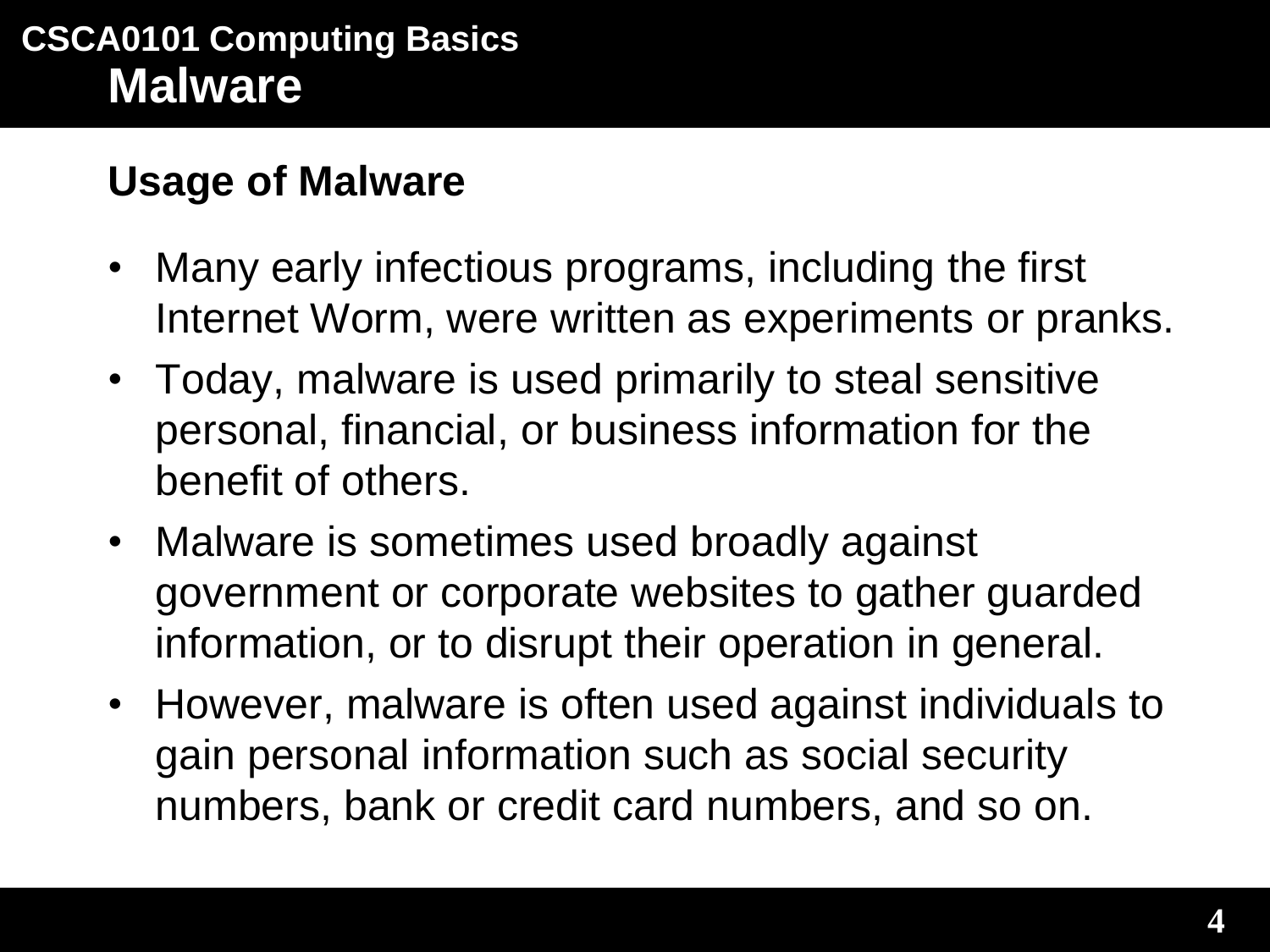#### **Usage of Malware**

- Many early infectious programs, including the first Internet Worm, were written as experiments or pranks.
- Today, malware is used primarily to steal sensitive personal, financial, or business information for the benefit of others.
- Malware is sometimes used broadly against government or corporate websites to gather guarded information, or to disrupt their operation in general.
- However, malware is often used against individuals to gain personal information such as social security numbers, bank or credit card numbers, and so on.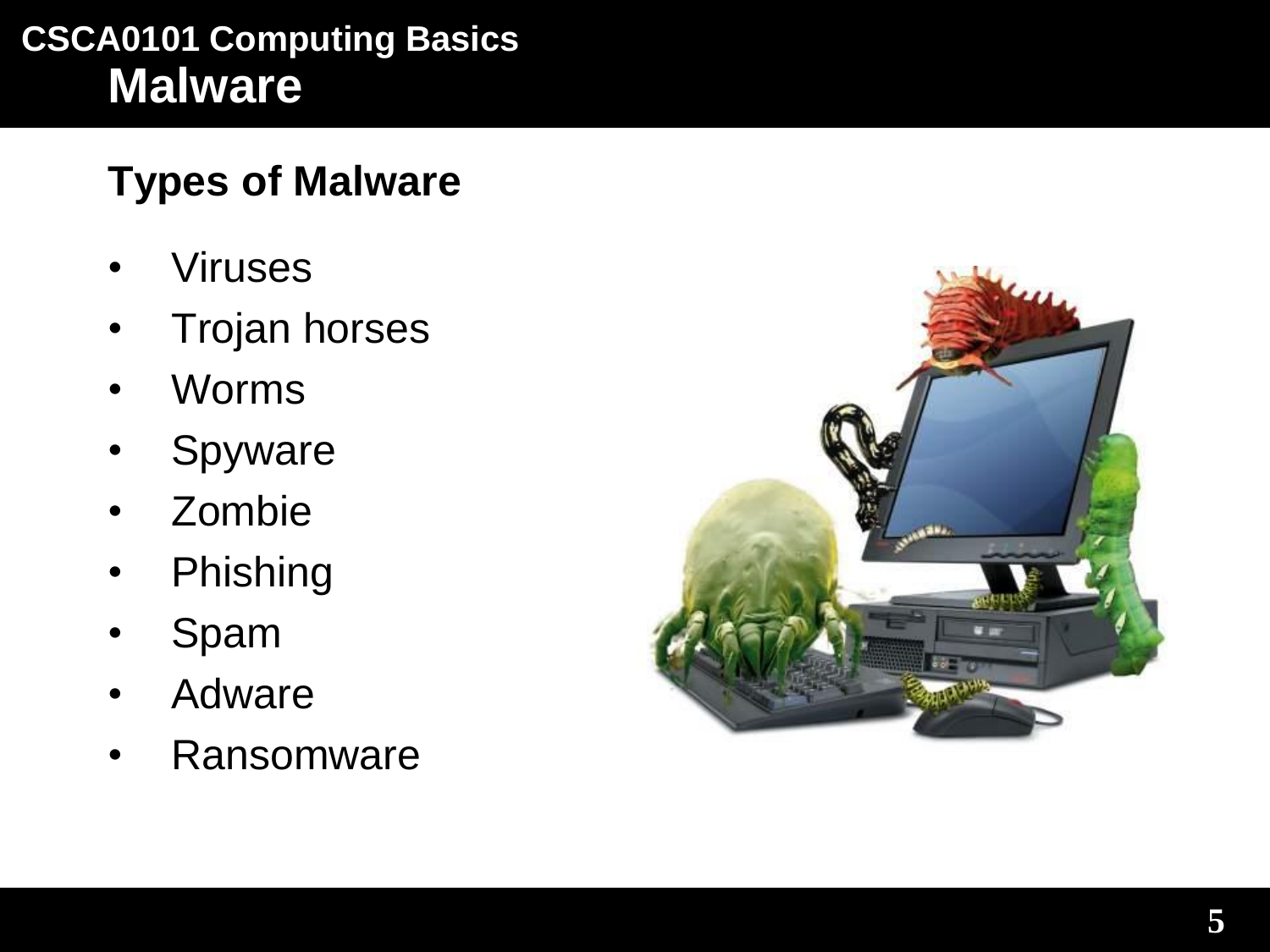### **Types of Malware**

- **Viruses**
- Trojan horses
- Worms
- **Spyware**
- Zombie
- **Phishing**
- **Spam**
- **Adware**
- Ransomware

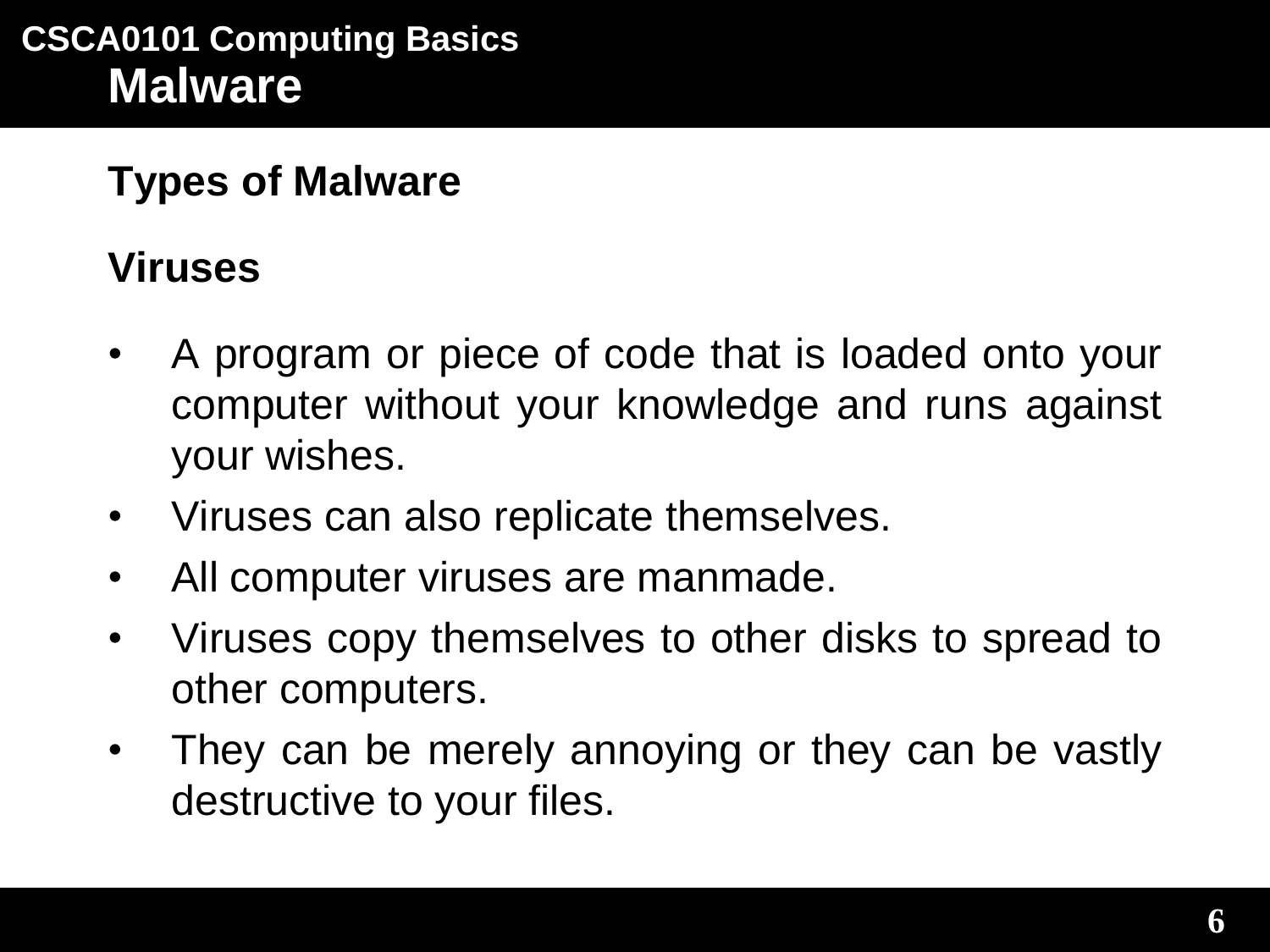### **Viruses**

- A program or piece of code that is loaded onto your computer without your knowledge and runs against your wishes.
- Viruses can also replicate themselves.
- All computer viruses are manmade.
- Viruses copy themselves to other disks to spread to other computers.
- They can be merely annoying or they can be vastly destructive to your files.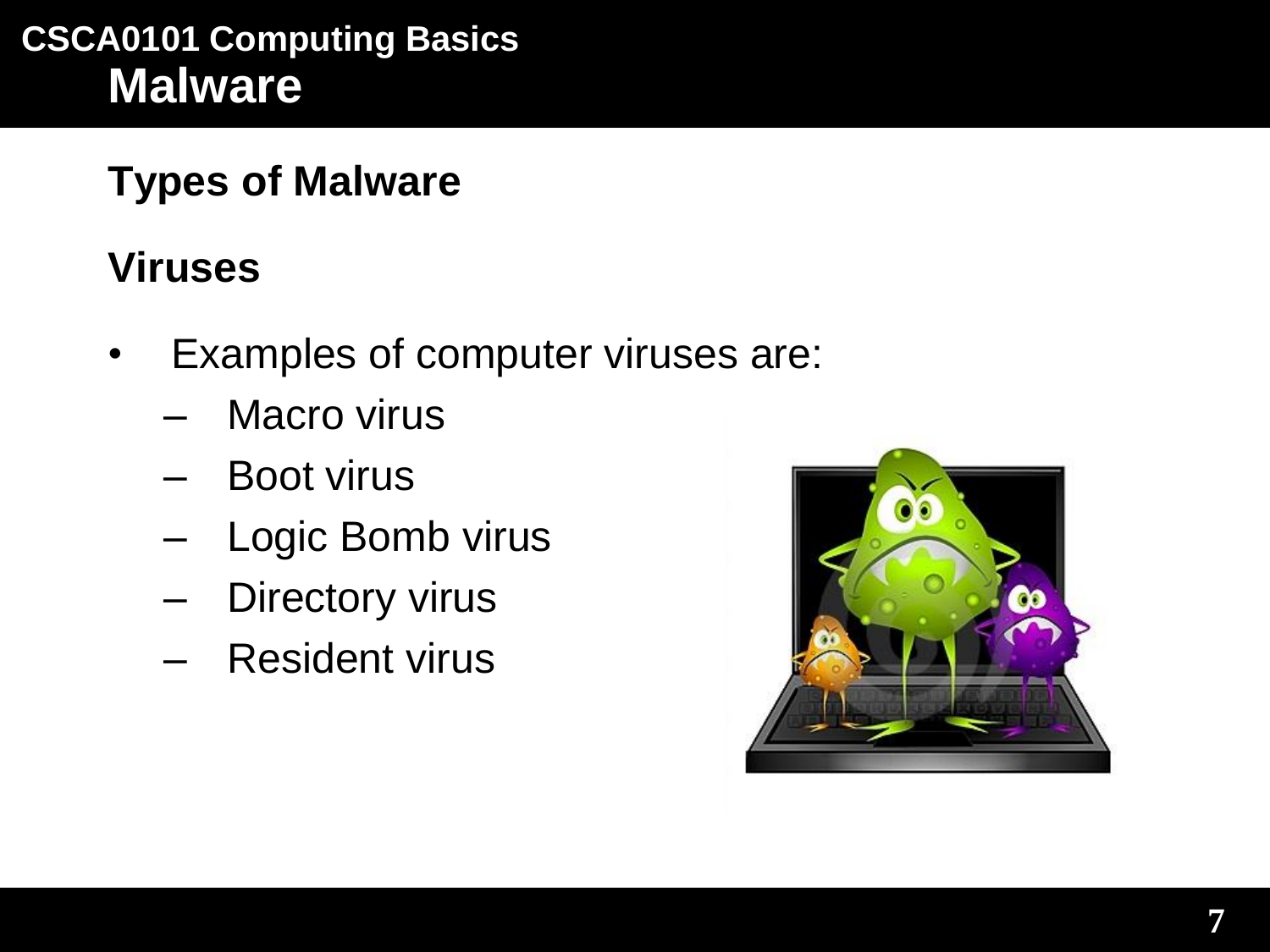**Types of Malware**

## **Viruses**

- Examples of computer viruses are:
	- Macro virus
	- Boot virus
	- Logic Bomb virus
	- Directory virus
	- Resident virus

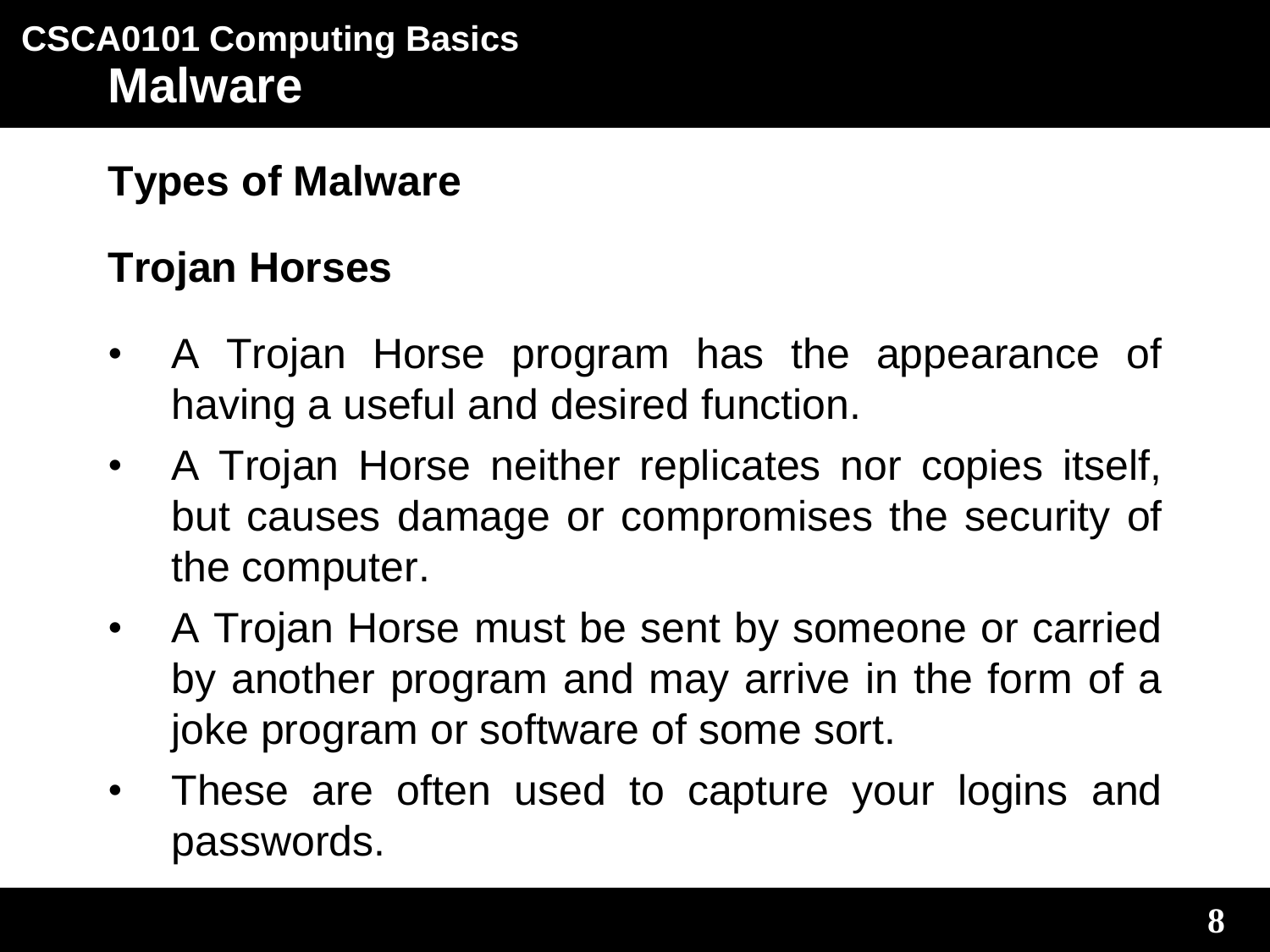### **Trojan Horses**

- A Trojan Horse program has the appearance of having a useful and desired function.
- A Trojan Horse neither replicates nor copies itself, but causes damage or compromises the security of the computer.
- A Trojan Horse must be sent by someone or carried by another program and may arrive in the form of a joke program or software of some sort.
- These are often used to capture your logins and passwords.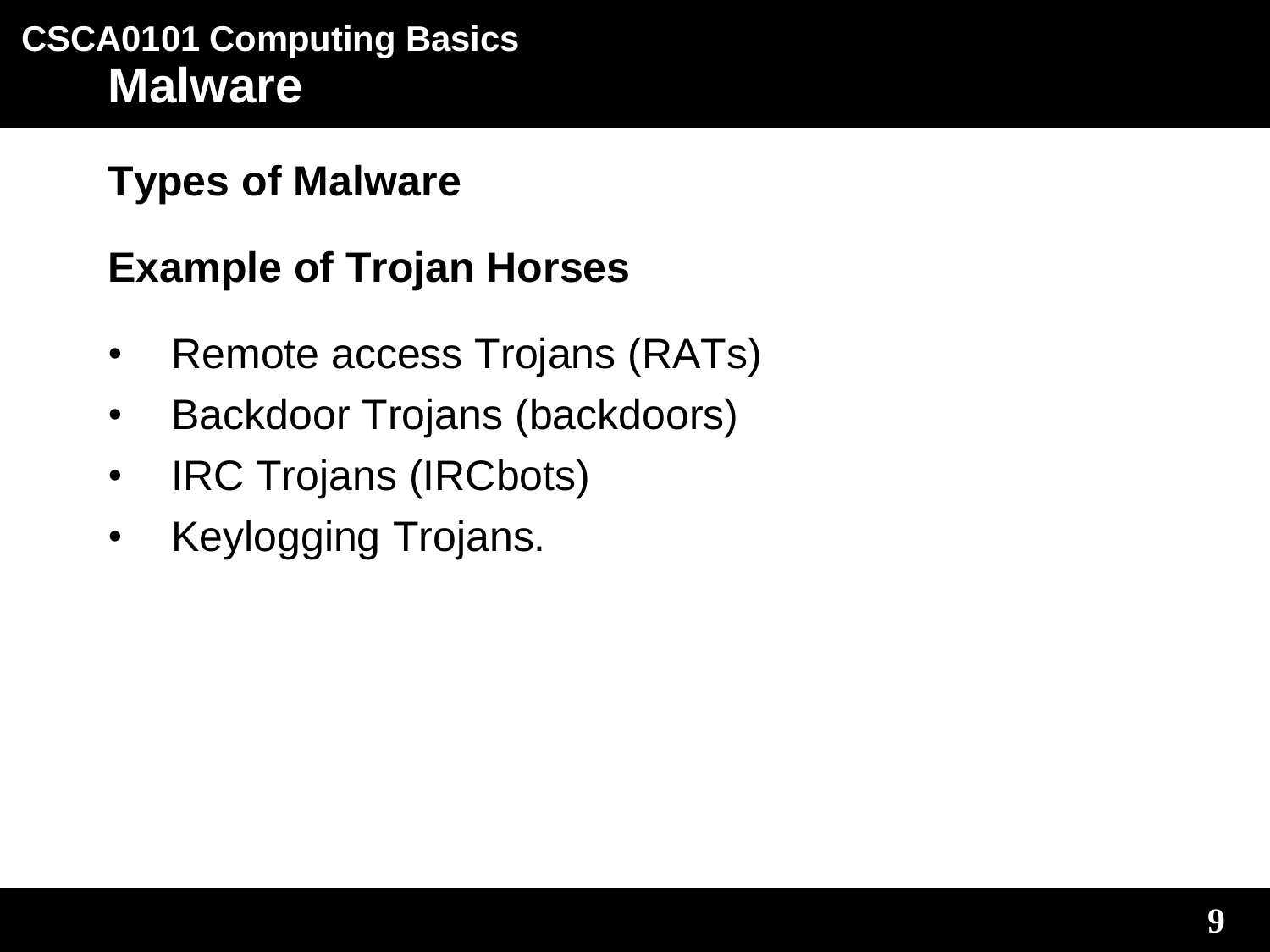### **Types of Malware**

### **Example of Trojan Horses**

- Remote access Trojans (RATs)
- Backdoor Trojans (backdoors)
- IRC Trojans (IRCbots)
- Keylogging Trojans.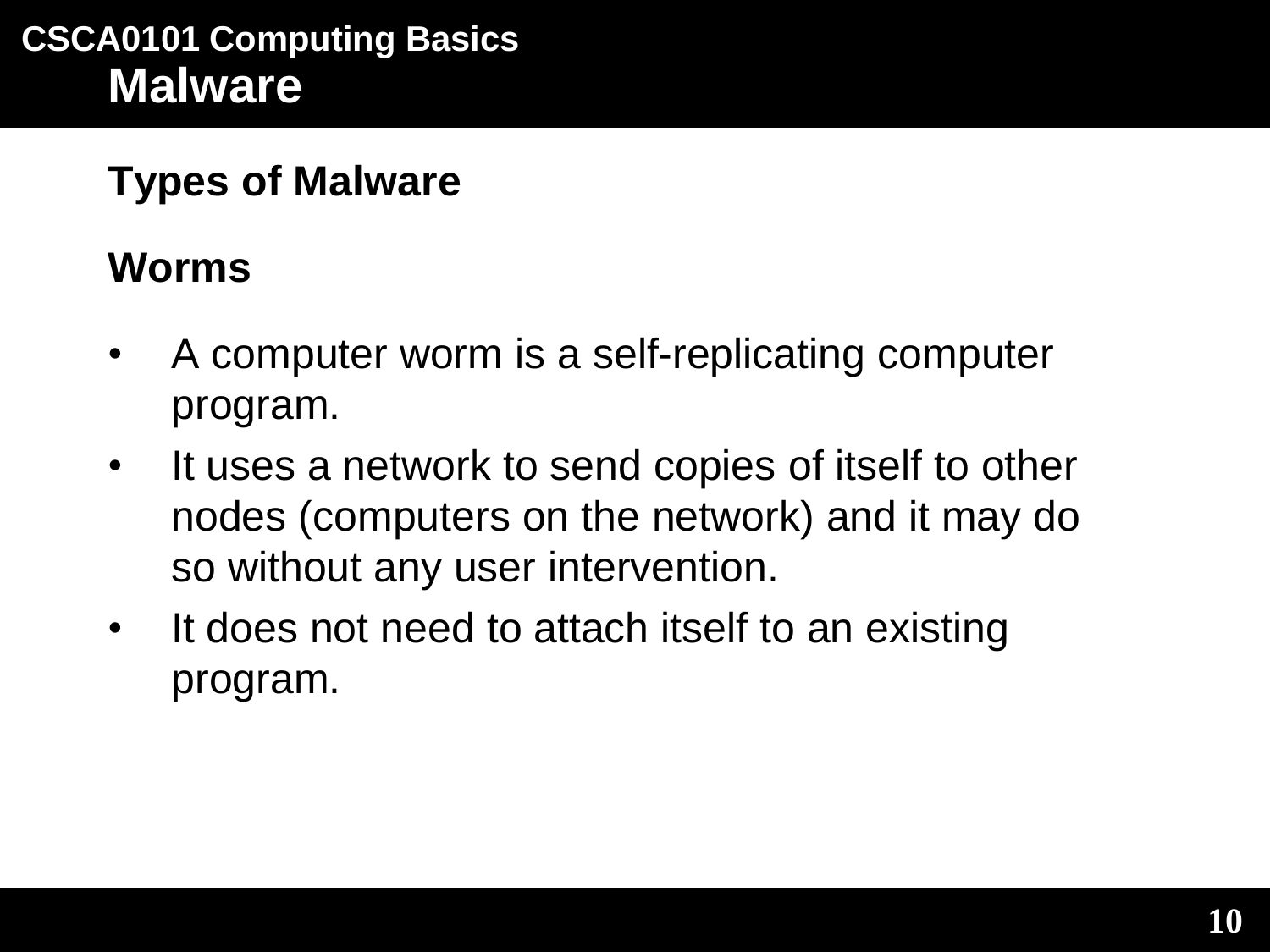### **Worms**

- A computer worm is a self-replicating computer program.
- It uses a network to send copies of itself to other nodes (computers on the network) and it may do so without any user intervention.
- It does not need to attach itself to an existing program.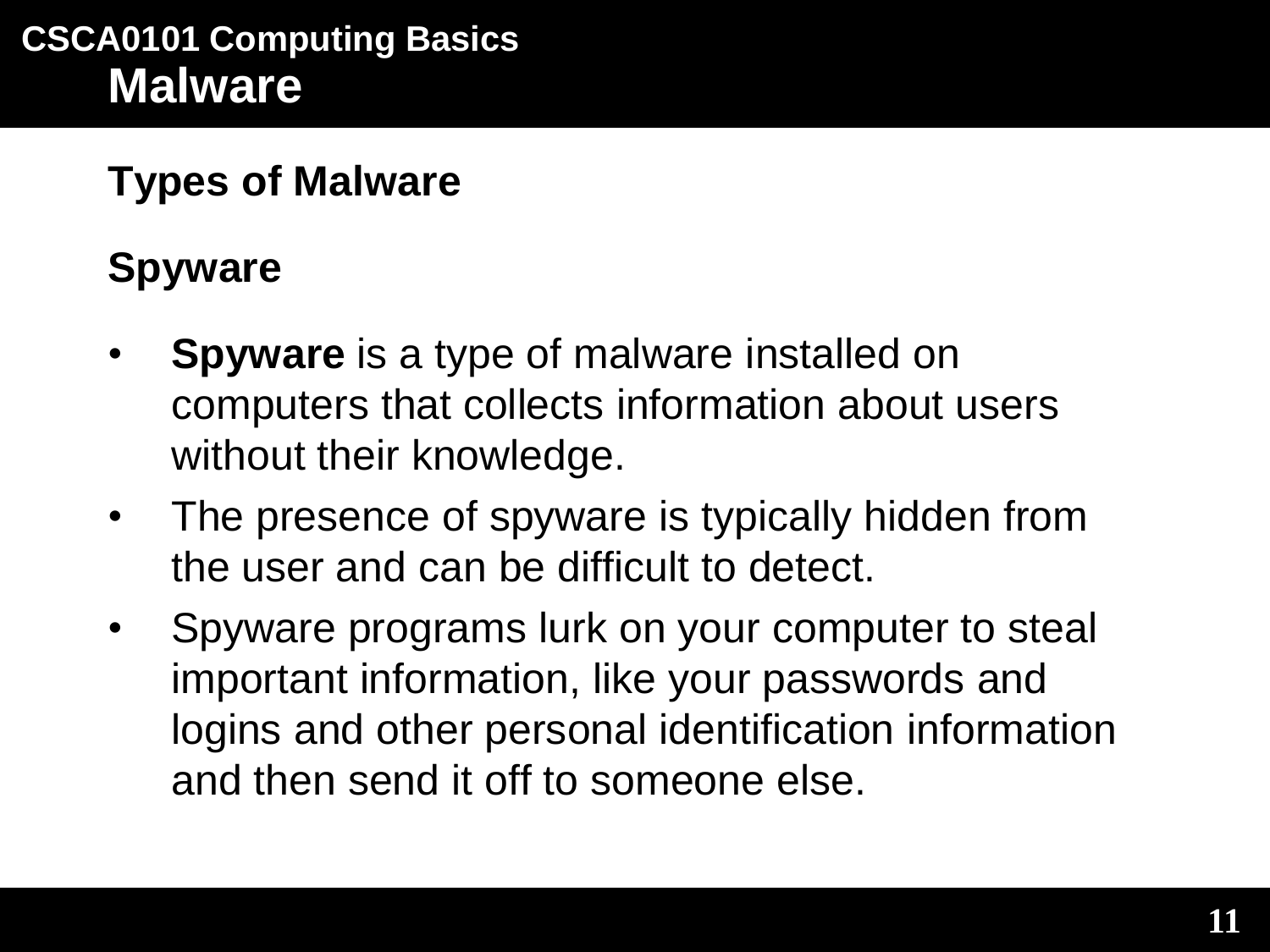# **Spyware**

- **Spyware** is a type of malware installed on computers that collects information about users without their knowledge.
- The presence of spyware is typically hidden from the user and can be difficult to detect.
- Spyware programs lurk on your computer to steal important information, like your passwords and logins and other personal identification information and then send it off to someone else.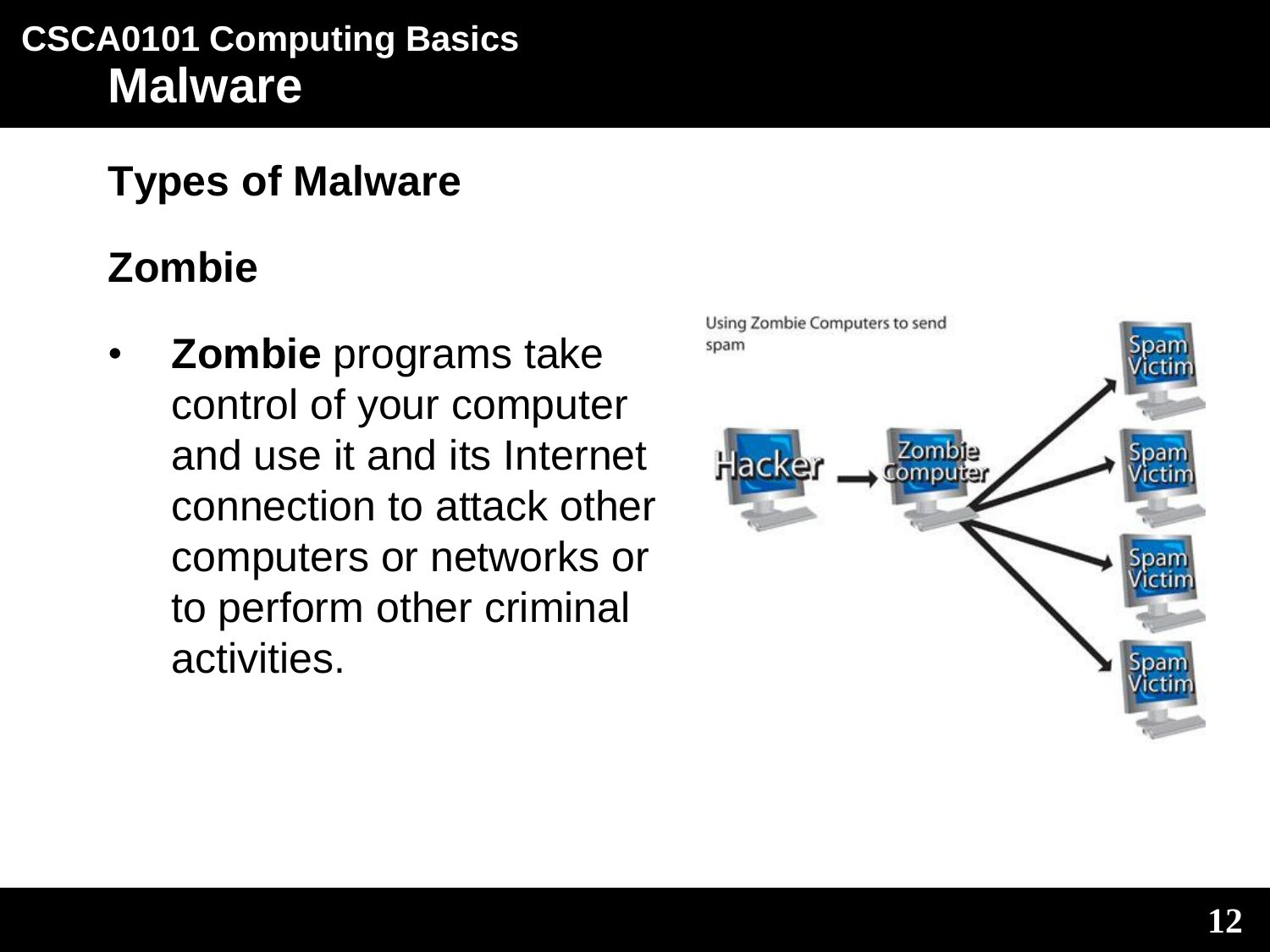### **Types of Malware**

### **Zombie**

• **Zombie** programs take control of your computer and use it and its Internet connection to attack other computers or networks or to perform other criminal activities.

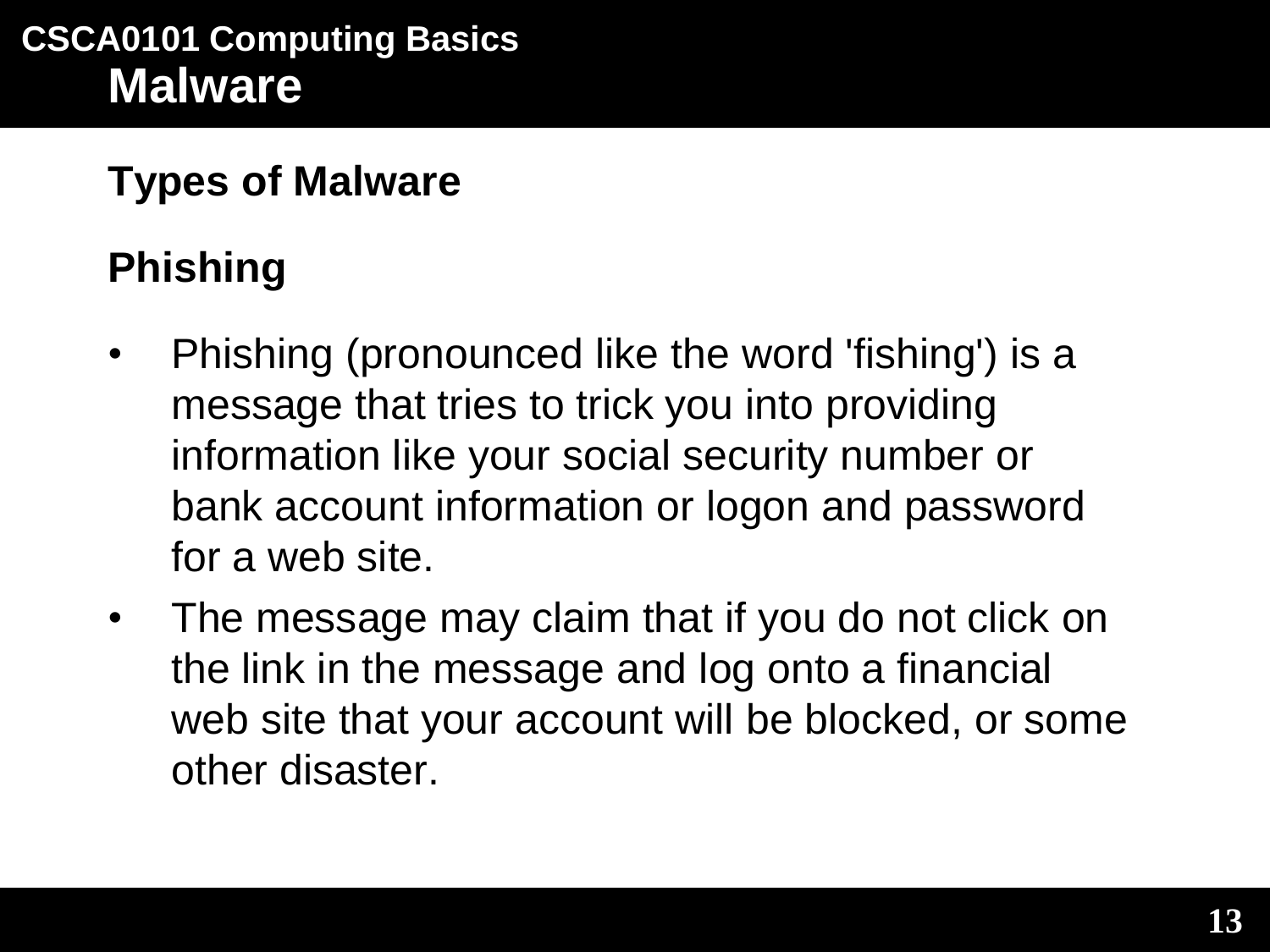# **Phishing**

- Phishing (pronounced like the word 'fishing') is a message that tries to trick you into providing information like your social security number or bank account information or logon and password for a web site.
- The message may claim that if you do not click on the link in the message and log onto a financial web site that your account will be blocked, or some other disaster.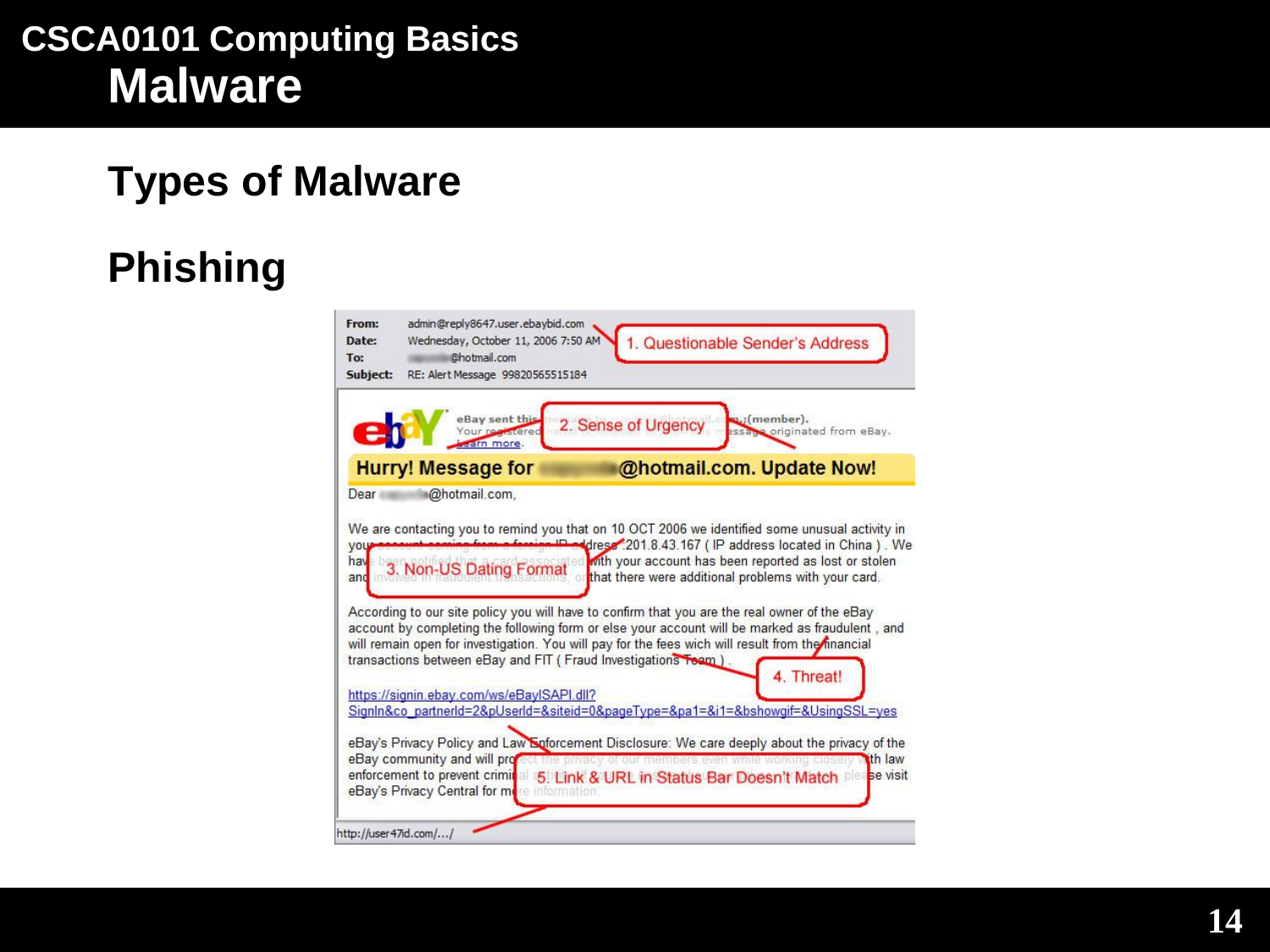### **Types of Malware**

# **Phishing**

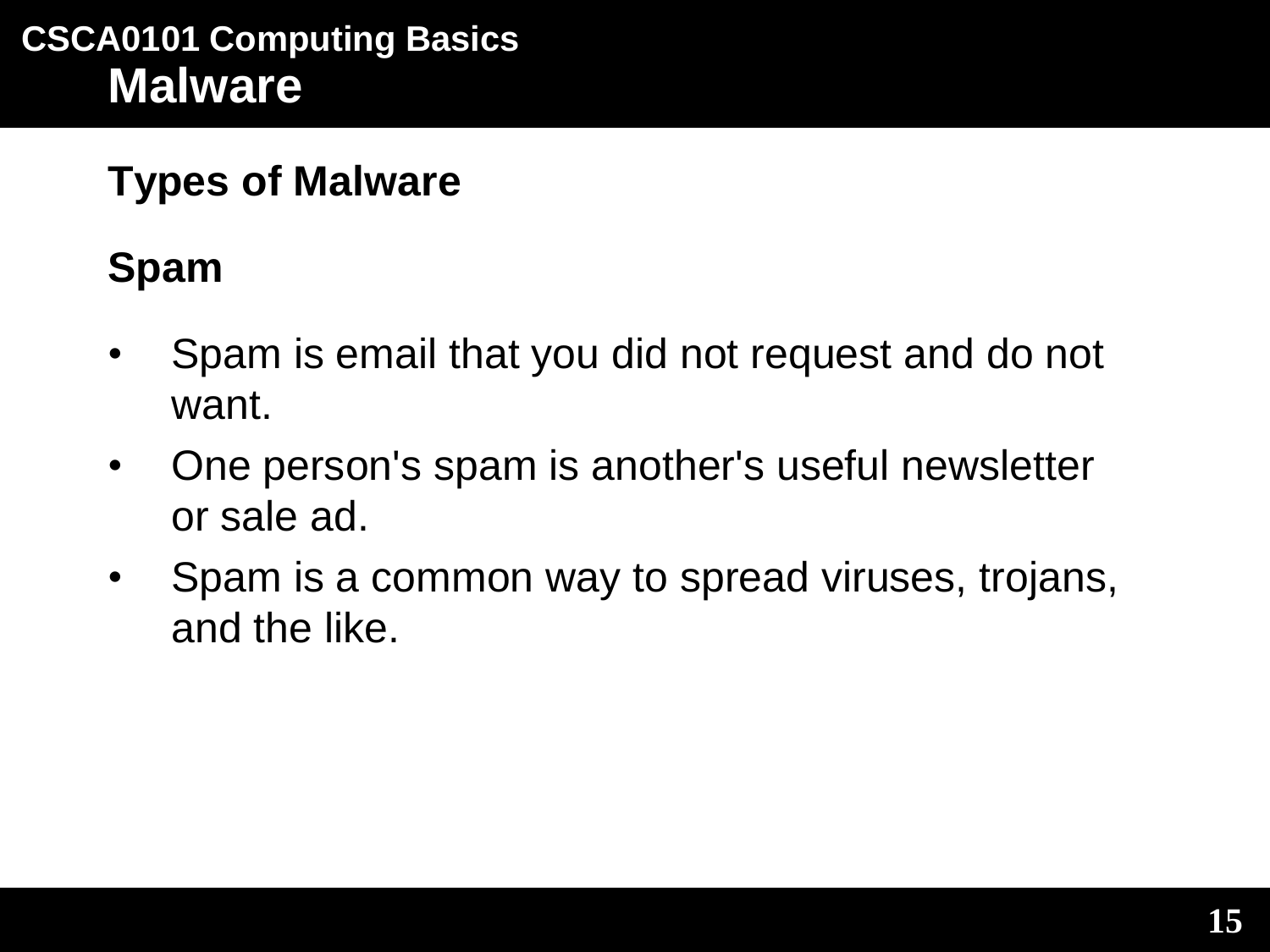# **Spam**

- Spam is email that you did not request and do not want.
- One person's spam is another's useful newsletter or sale ad.
- Spam is a common way to spread viruses, trojans, and the like.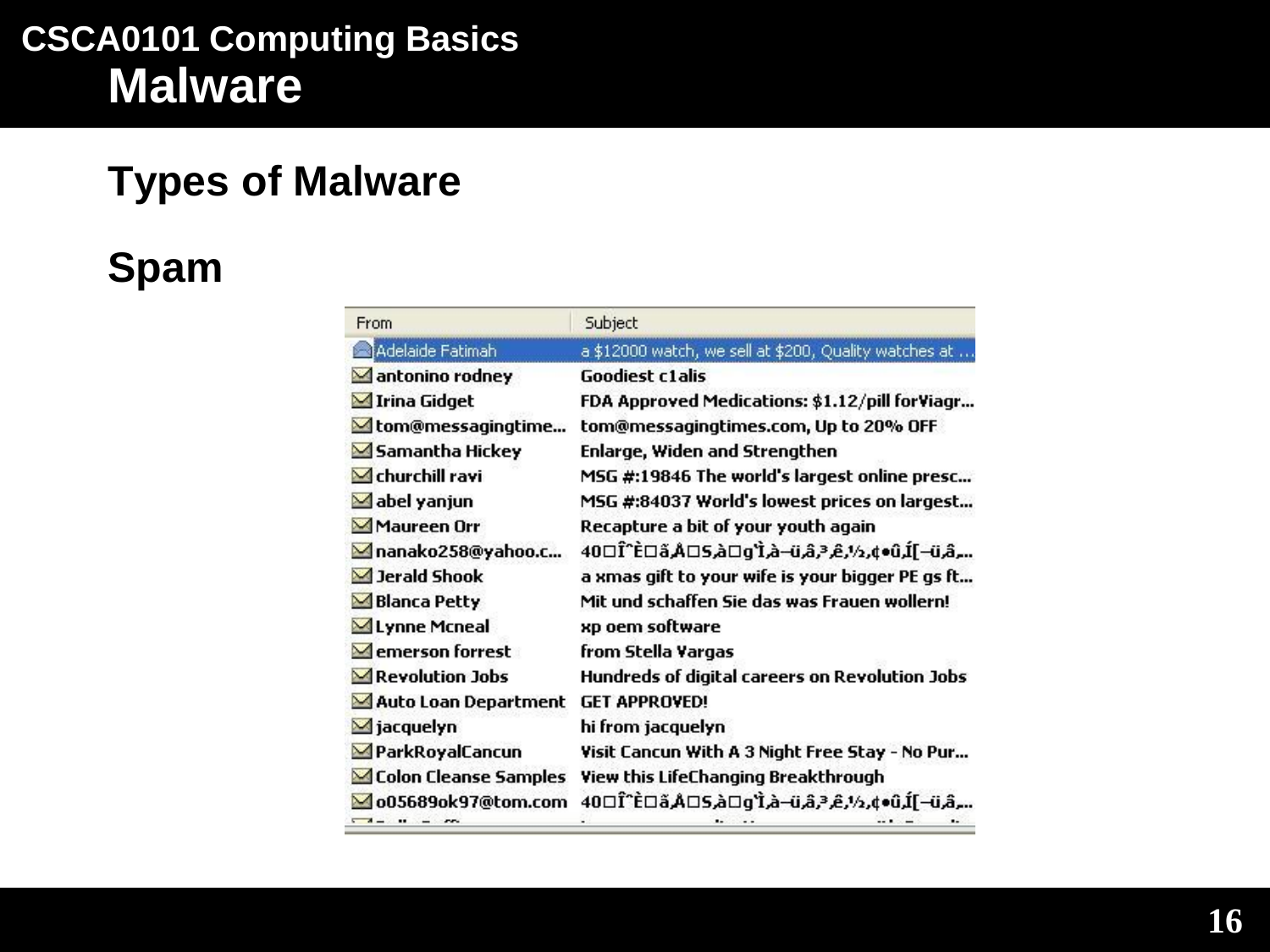### **Types of Malware**

# **Spam**

| From                           | Subject                                                         |
|--------------------------------|-----------------------------------------------------------------|
| Adelaide Fatimah               | a \$12000 watch, we sell at \$200, Quality watches at           |
| antonino rodney                | <b>Goodiest c1alis</b>                                          |
| Irina Gidget                   | FDA Approved Medications: \$1.12/pill forViagr                  |
| <b>△</b> tom@messagingtime     | tom@messagingtimes.com, Up to 20% OFF                           |
| Samantha Hickey                | Enlarge, Widen and Strengthen                                   |
| $\blacksquare$ churchill ravi  | MSG #:19846 The world's largest online presc                    |
| $\blacksquare$ abel yanjun     | MSG #:84037 World's lowest prices on largest                    |
| Maureen Orr                    | Recapture a bit of your youth again                             |
| manako258@yahoo.c              | ؞؞؍ۿ٫ۨؾؘ <i>ؘ</i> —]ڷ٫ڷ؋؋؍؉٫ڲ؍ڋ؉ٛۿ٫ؾ؎ٛؖ؉ؖٚٳۅ۩ۿ۩ػ۩ػ۩ٵٛ۩۩         |
| Jerald Shook                   | a xmas gift to your wife is your bigger PE gs ft                |
| Blanca Petty                   | Mit und schaffen Sie das was Frauen wollern!                    |
| <b>△Lynne Mcneal</b>           | xp oem software                                                 |
| $\blacksquare$ emerson forrest | from Stella Vargas                                              |
| Revolution Jobs                | Hundreds of digital careers on Revolution Jobs                  |
| Auto Loan Department           | <b>GET APPROVED!</b>                                            |
| $\blacksquare$ jacquelyn       | hi from jacquelyn                                               |
| ParkRoyalCancun                | Visit Cancun With A 3 Night Free Stay - No Pur                  |
| Colon Cleanse Samples          | View this LifeChanging Breakthrough                             |
| o05689ok97@tom.com             | …,مُت–]لَّـ(تَ•¢,½,ڠ,مُ تَمَرَّت–مُ أَ*وِ□مُ كِ□Aُ قَ□أَ*تَا 40 |
| $-1 - 11 - -12$                |                                                                 |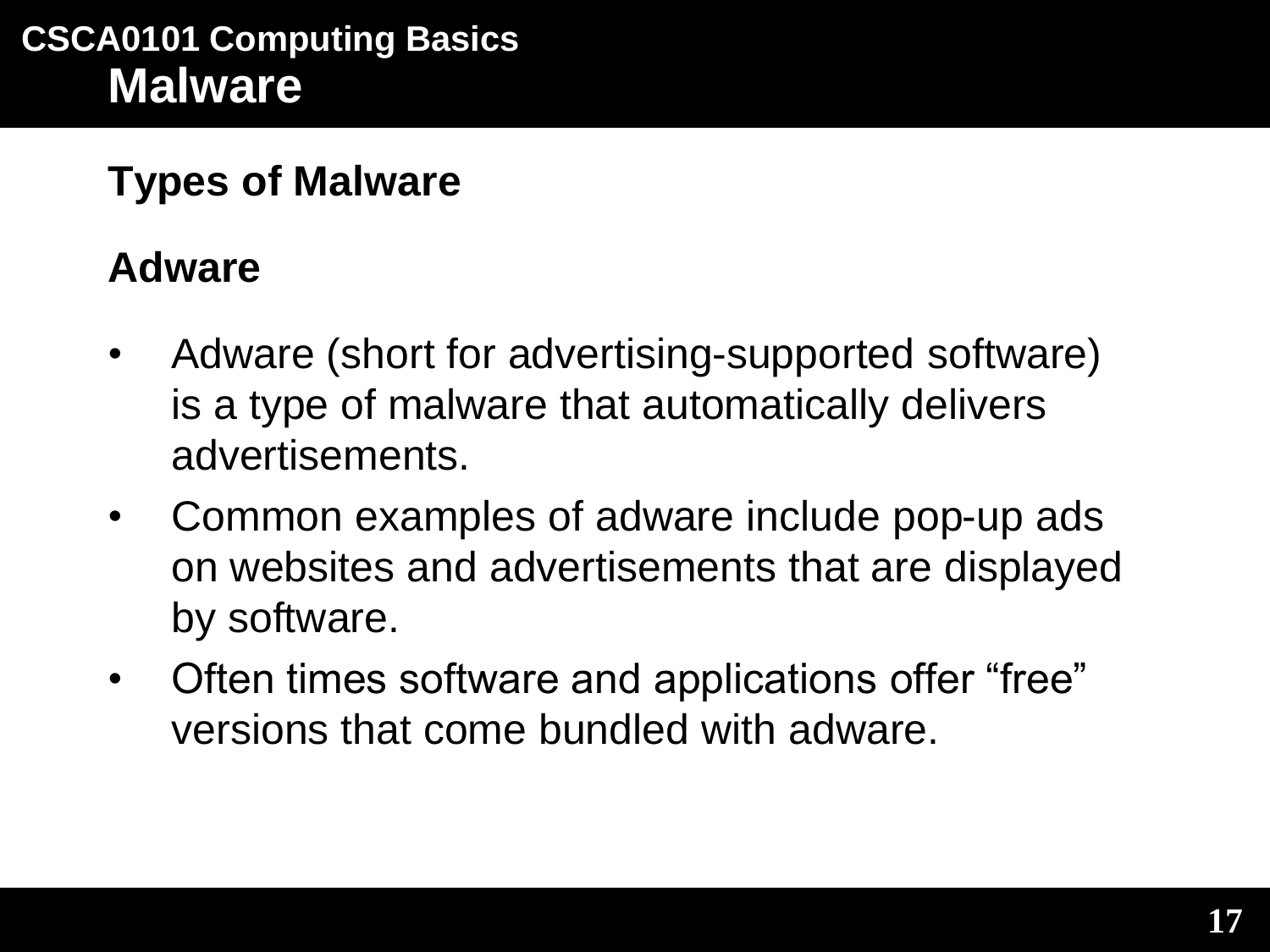### **Adware**

- Adware (short for advertising-supported software) is a type of malware that automatically delivers advertisements.
- Common examples of adware include pop-up ads on websites and advertisements that are displayed by software.
- Often times software and applications offer "free" versions that come bundled with adware.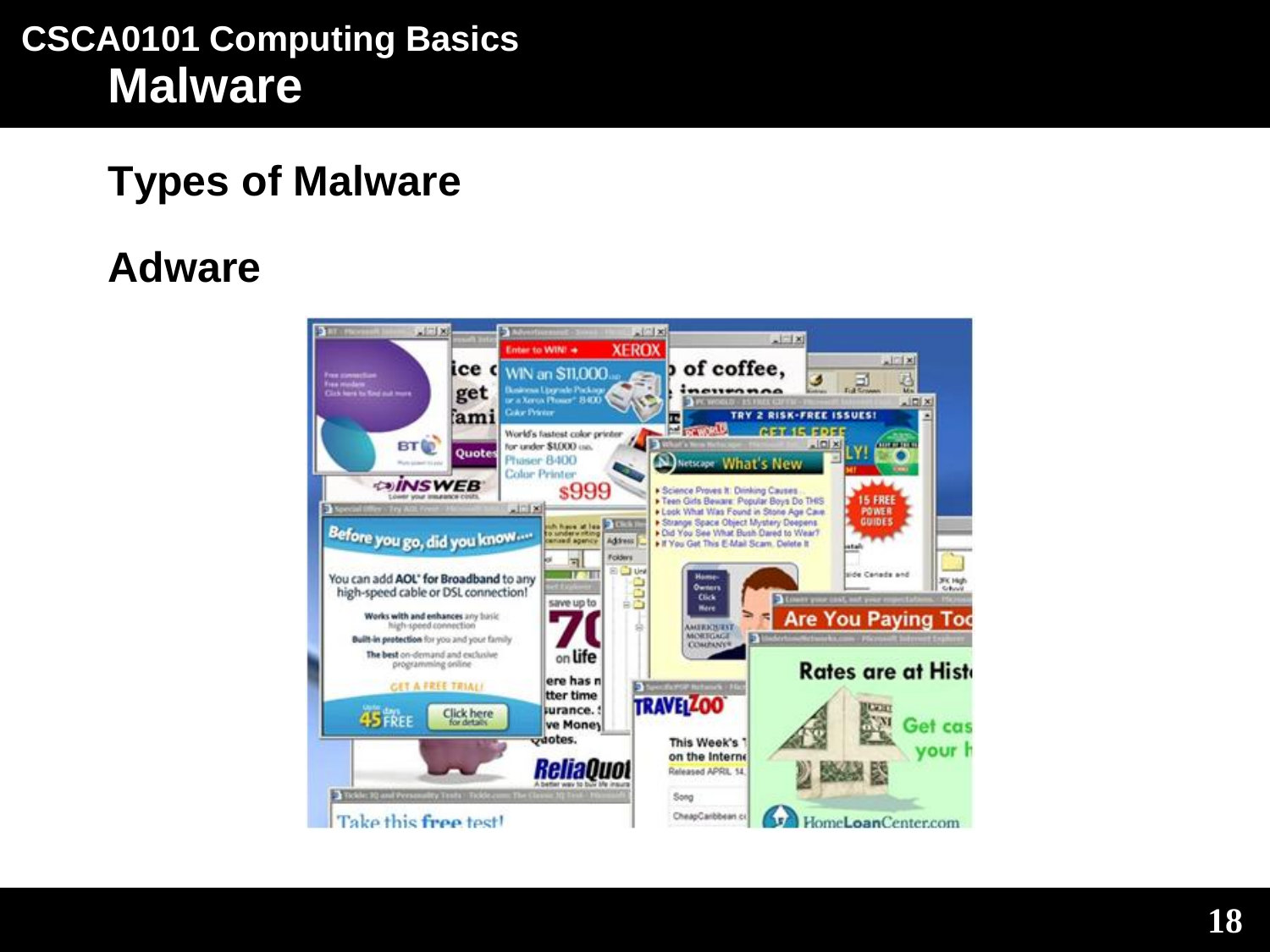### **Types of Malware**

### **Adware**

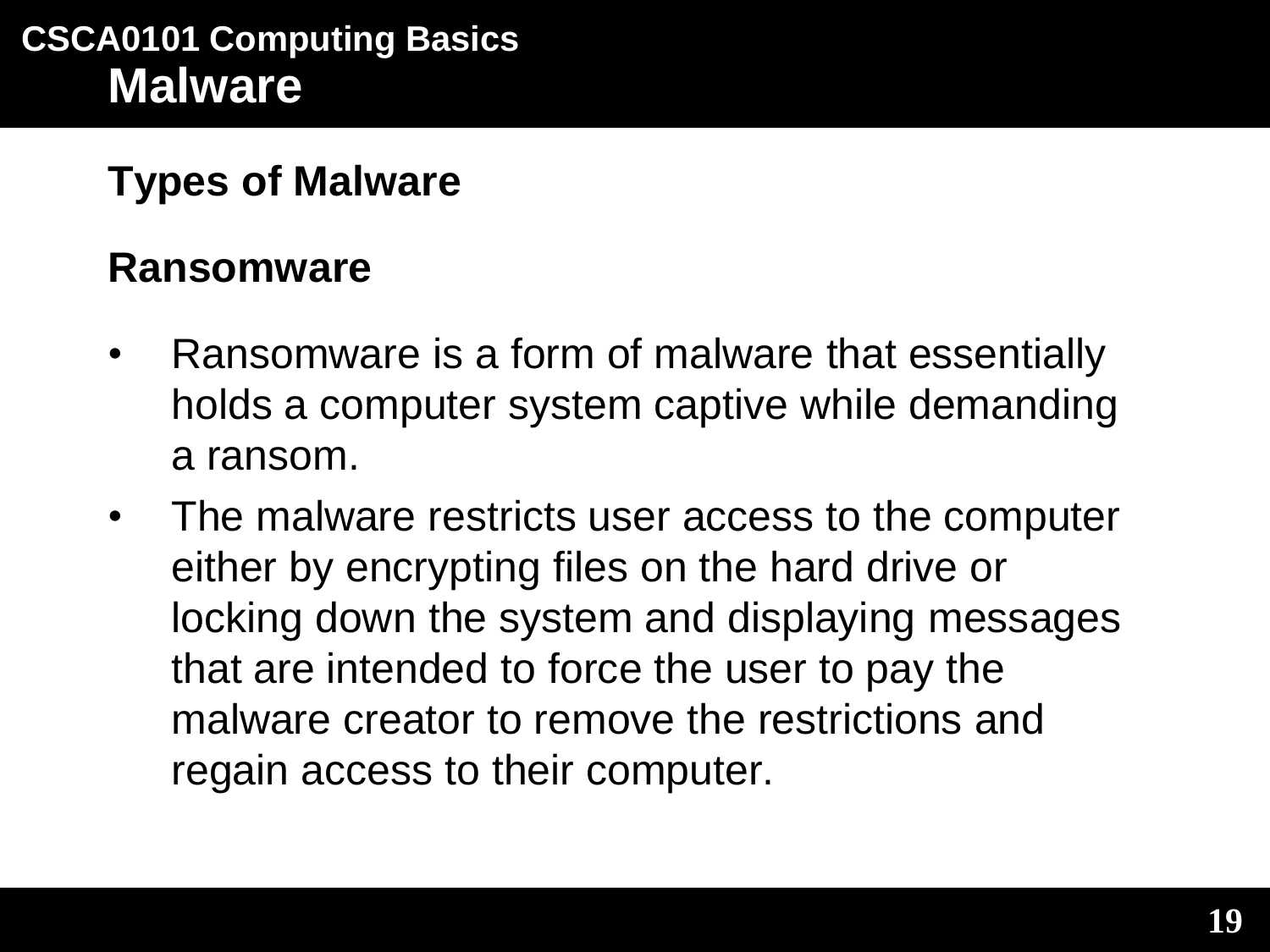#### **Ransomware**

- Ransomware is a form of malware that essentially holds a computer system captive while demanding a ransom.
- The malware restricts user access to the computer either by encrypting files on the hard drive or locking down the system and displaying messages that are intended to force the user to pay the malware creator to remove the restrictions and regain access to their computer.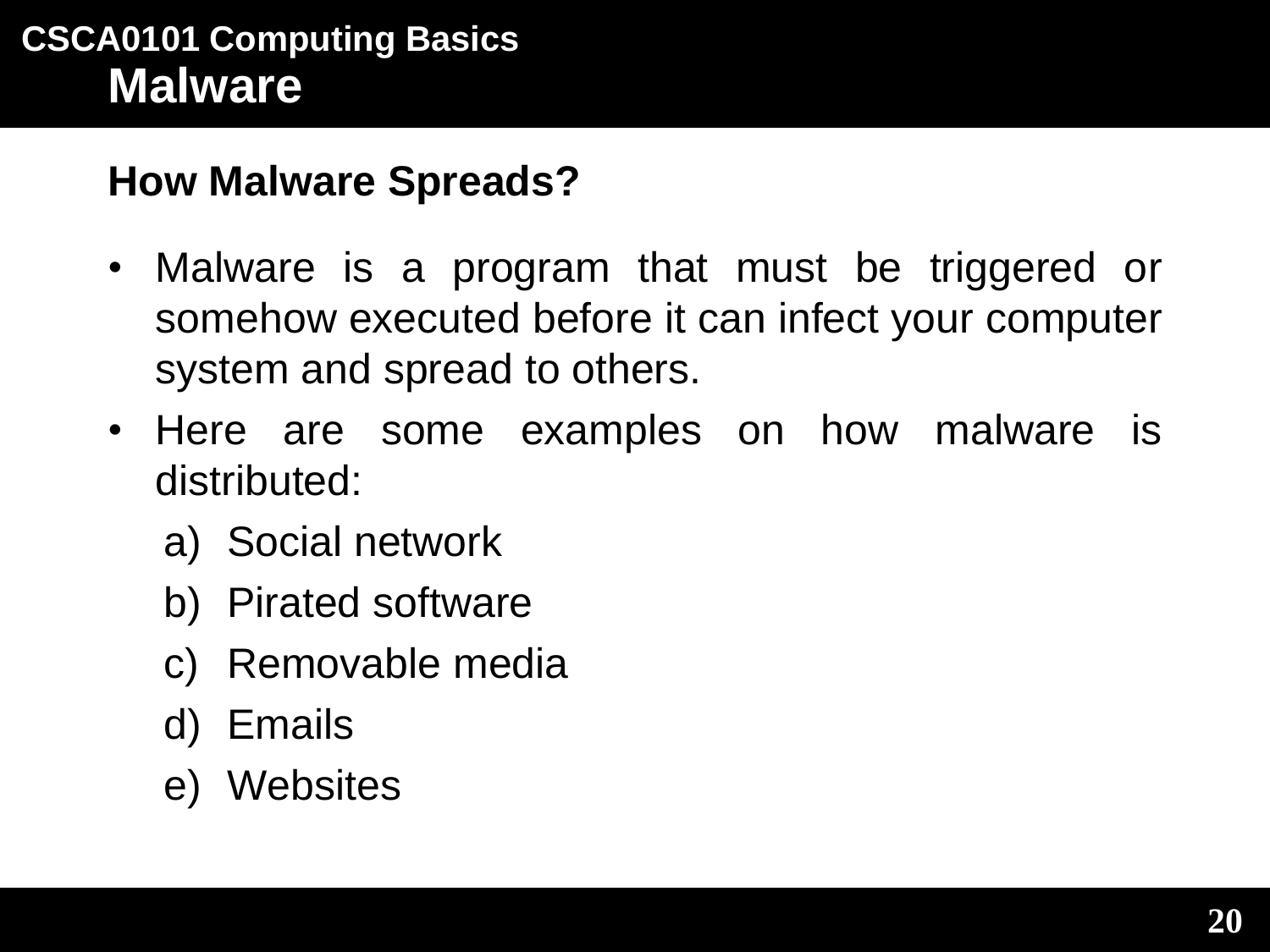#### **How Malware Spreads?**

- Malware is a program that must be triggered or somehow executed before it can infect your computer system and spread to others.
- Here are some examples on how malware is distributed:
	- a) Social network
	- b) Pirated software
	- c) Removable media
	- d) Emails
	- e) Websites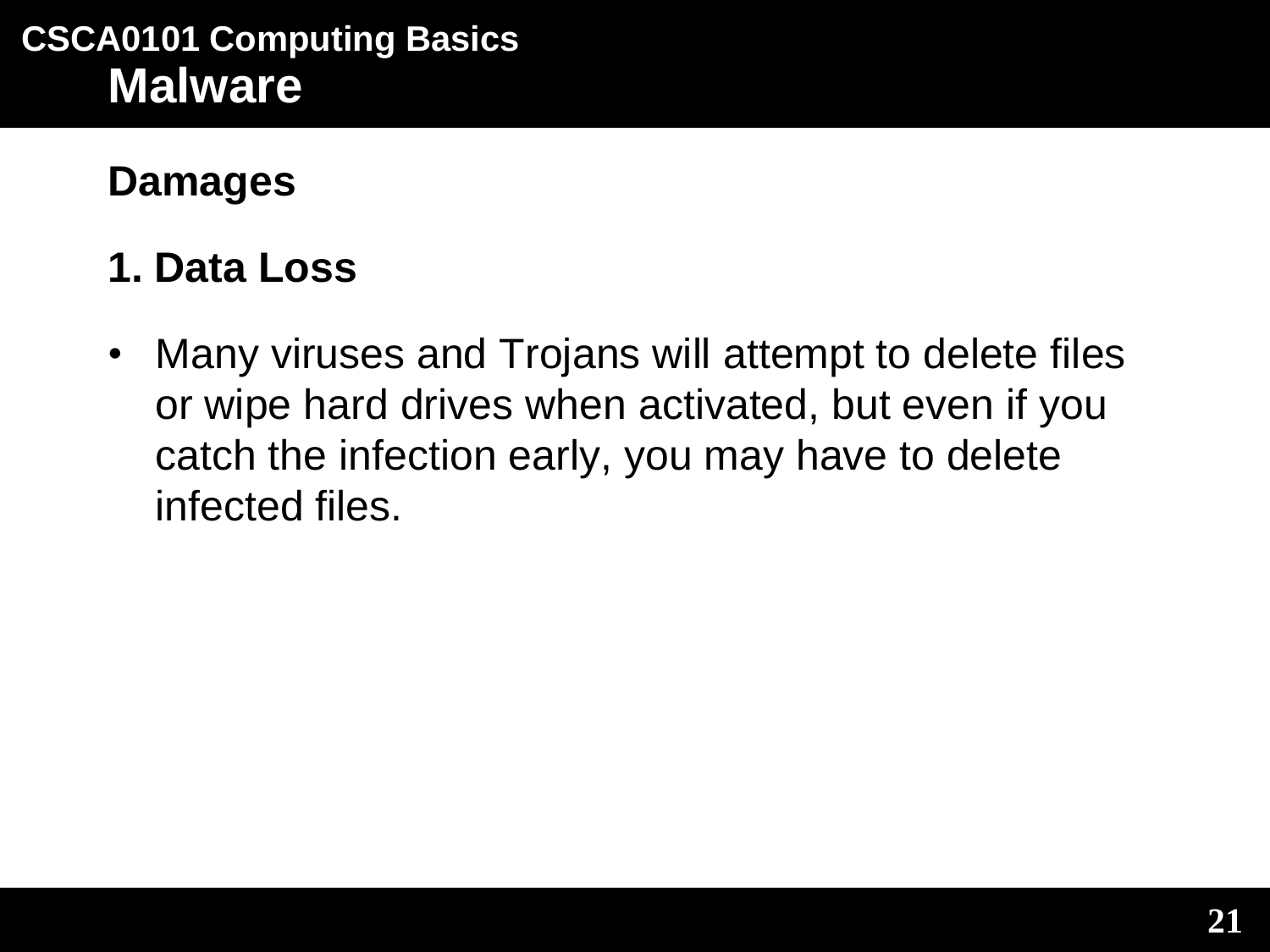**Damages**

### **1. Data Loss**

• Many viruses and Trojans will attempt to delete files or wipe hard drives when activated, but even if you catch the infection early, you may have to delete infected files.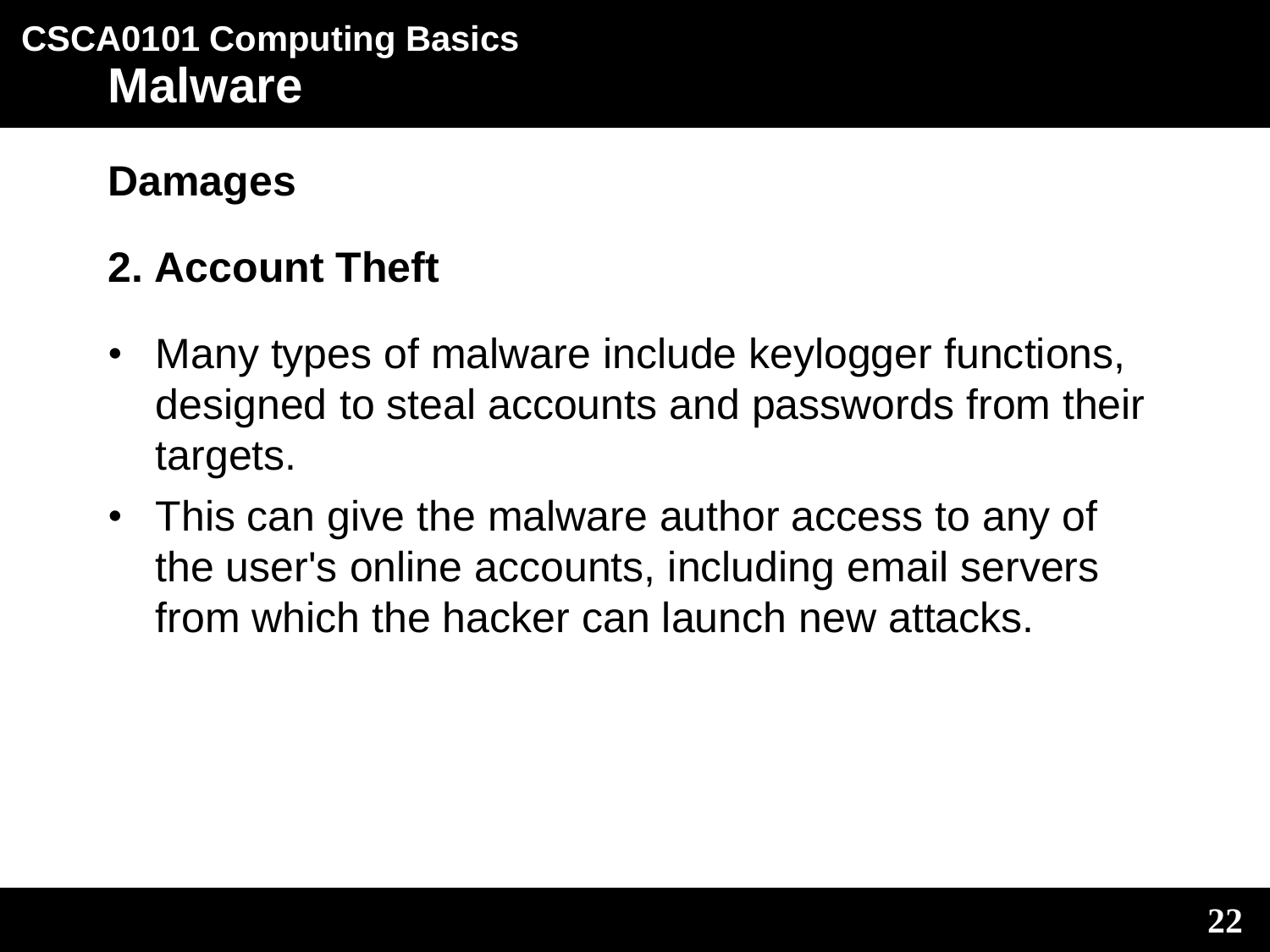#### **Damages**

### **2. Account Theft**

- Many types of malware include keylogger functions, designed to steal accounts and passwords from their targets.
- This can give the malware author access to any of the user's online accounts, including email servers from which the hacker can launch new attacks.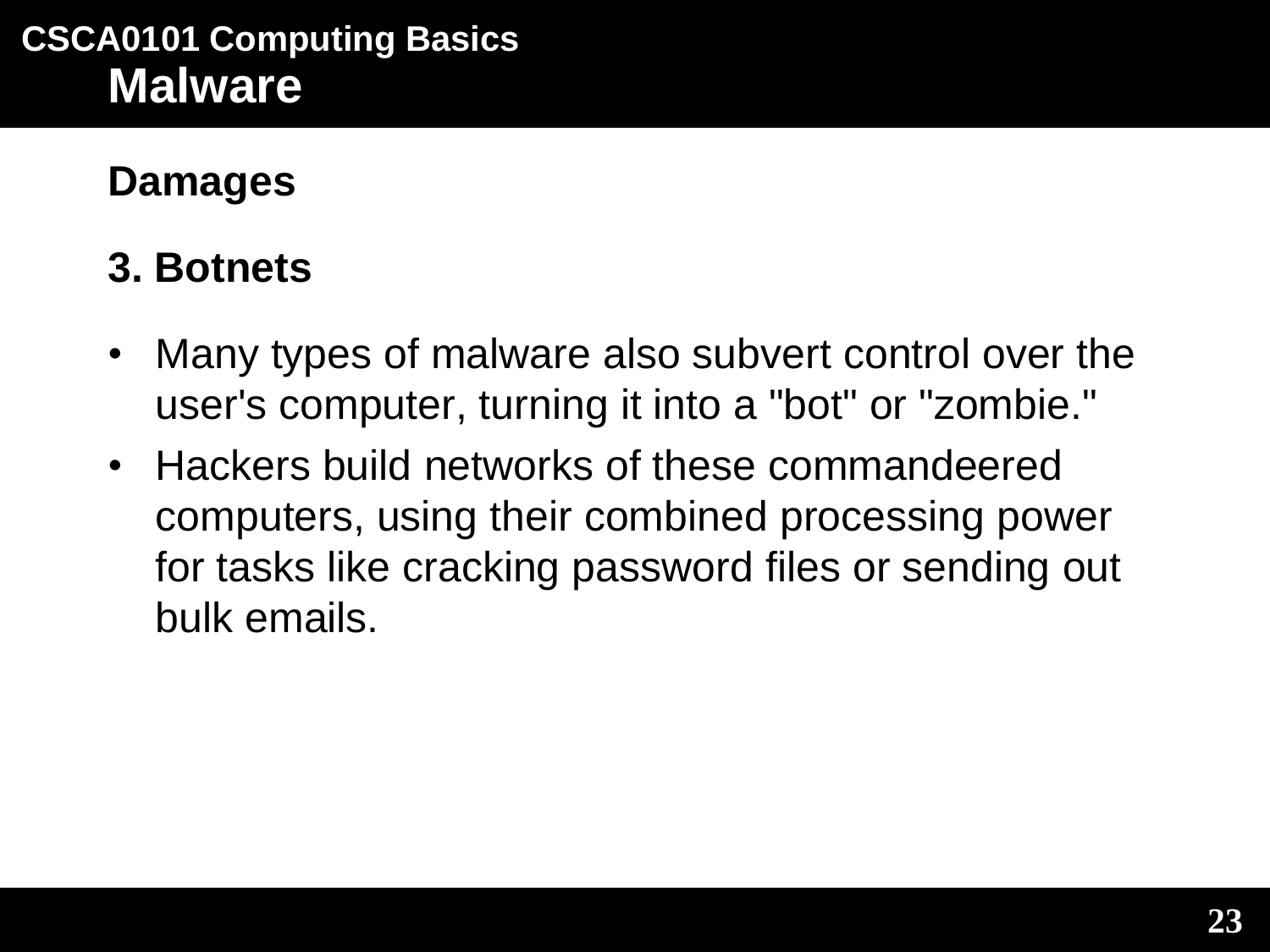#### **Damages**

### **3. Botnets**

- Many types of malware also subvert control over the user's computer, turning it into a "bot" or "zombie."
- Hackers build networks of these commandeered computers, using their combined processing power for tasks like cracking password files or sending out bulk emails.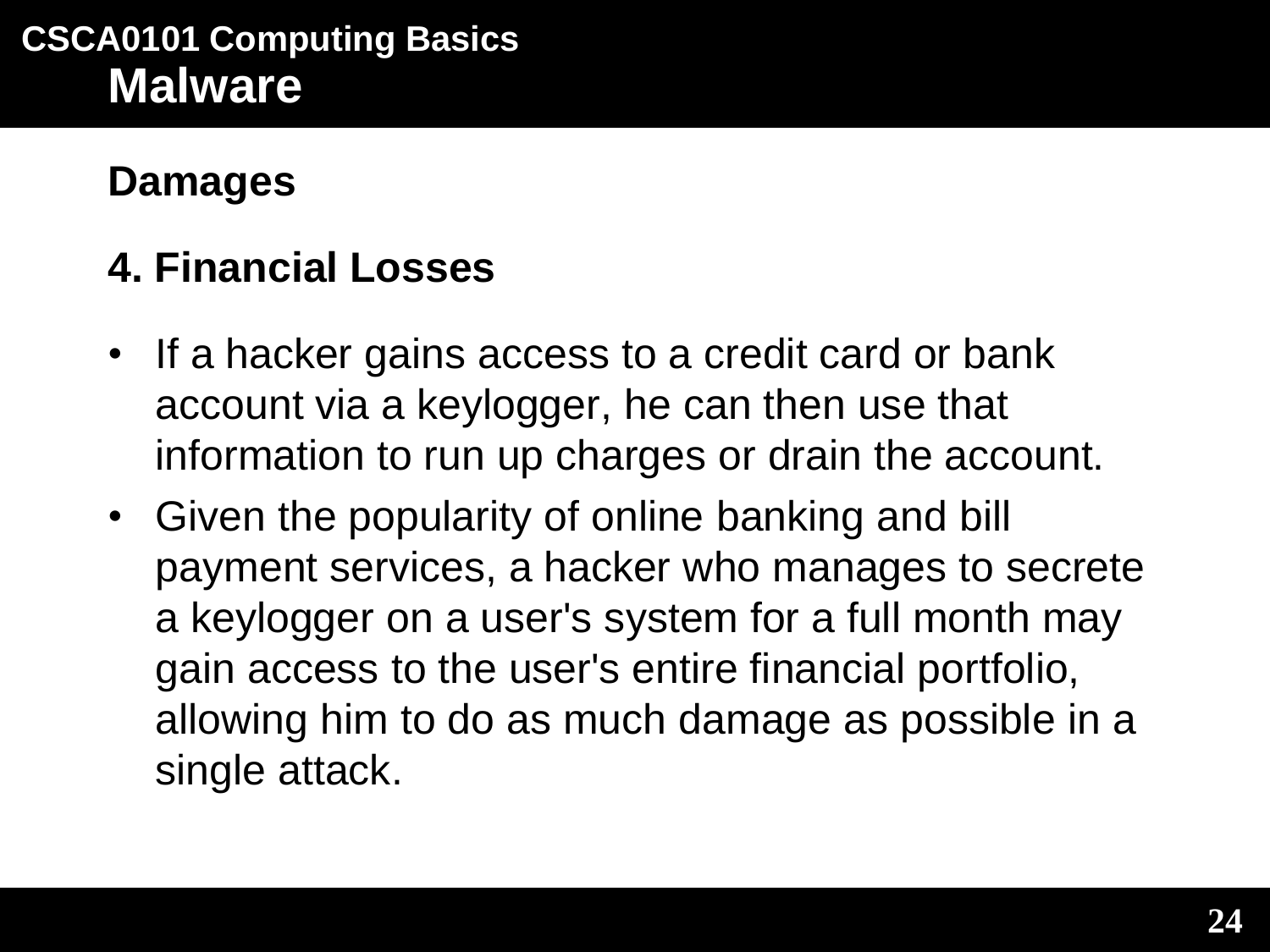#### **Damages**

### **4. Financial Losses**

- If a hacker gains access to a credit card or bank account via a keylogger, he can then use that information to run up charges or drain the account.
- Given the popularity of online banking and bill payment services, a hacker who manages to secrete a keylogger on a user's system for a full month may gain access to the user's entire financial portfolio, allowing him to do as much damage as possible in a single attack.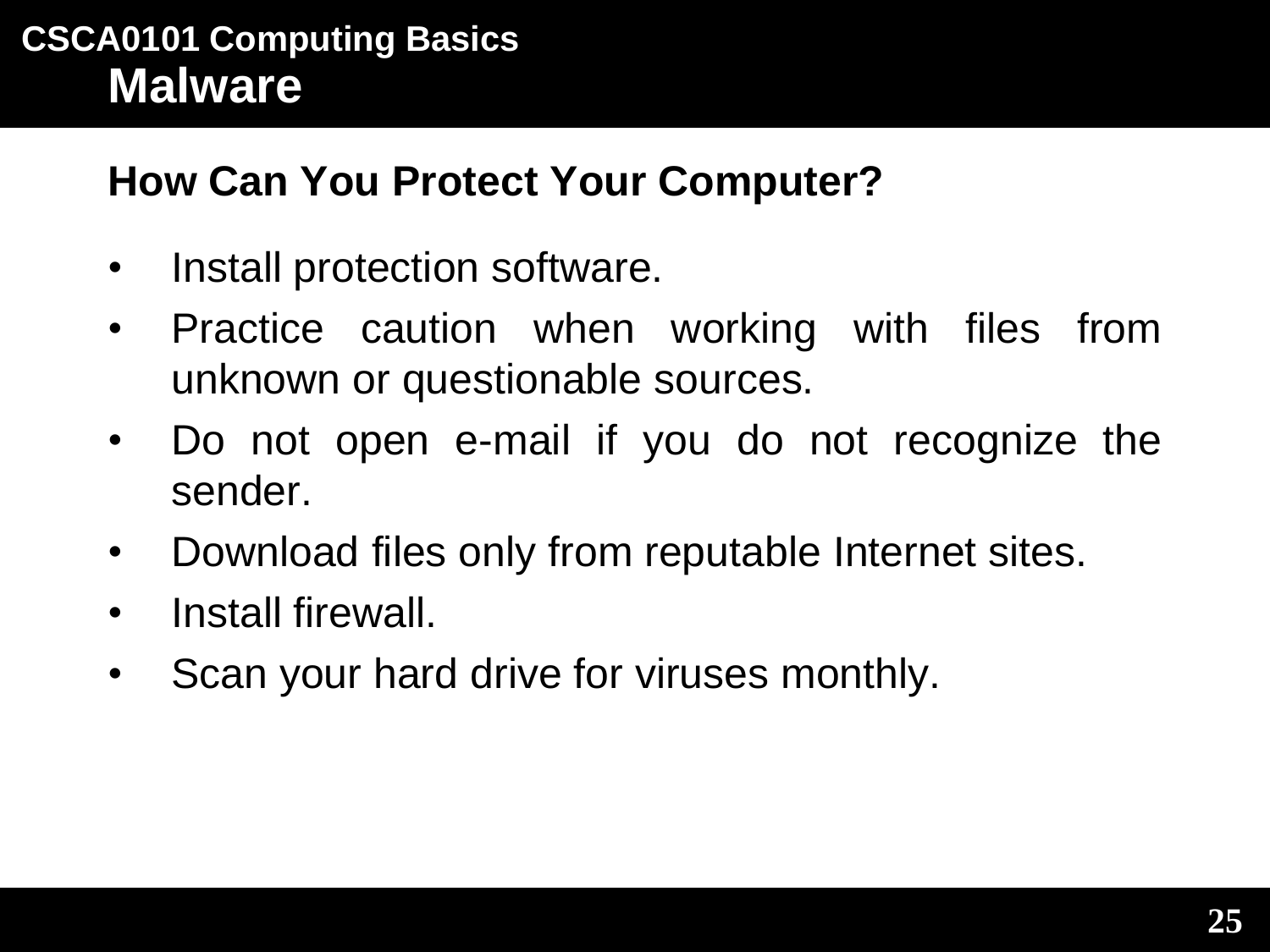#### **How Can You Protect Your Computer?**

- Install protection software.
- Practice caution when working with files from unknown or questionable sources.
- Do not open e-mail if you do not recognize the sender.
- Download files only from reputable Internet sites.
- Install firewall.
- Scan your hard drive for viruses monthly.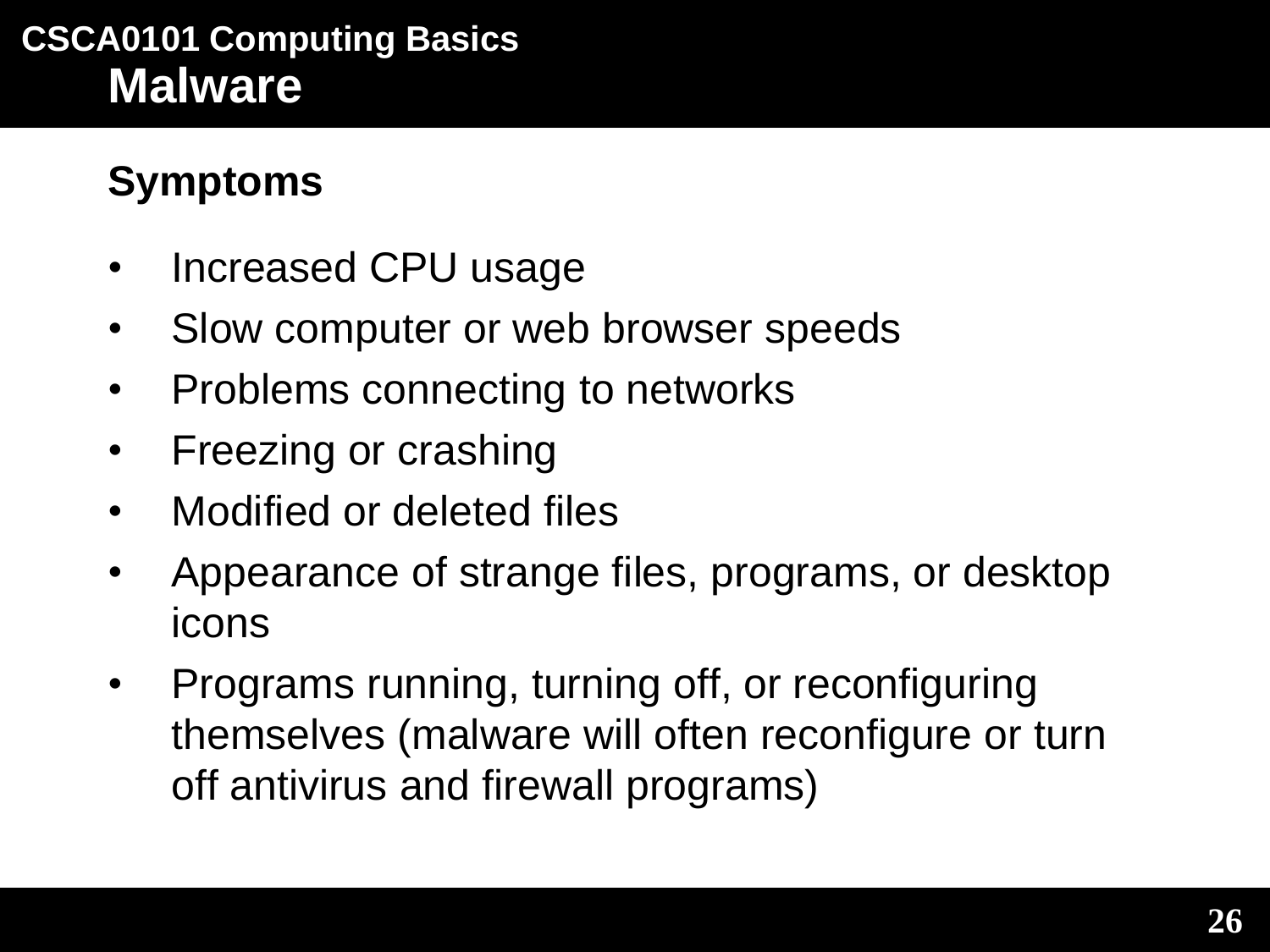### **Symptoms**

- Increased CPU usage
- Slow computer or web browser speeds
- Problems connecting to networks
- Freezing or crashing
- Modified or deleted files
- Appearance of strange files, programs, or desktop icons
- Programs running, turning off, or reconfiguring themselves (malware will often reconfigure or turn off antivirus and firewall programs)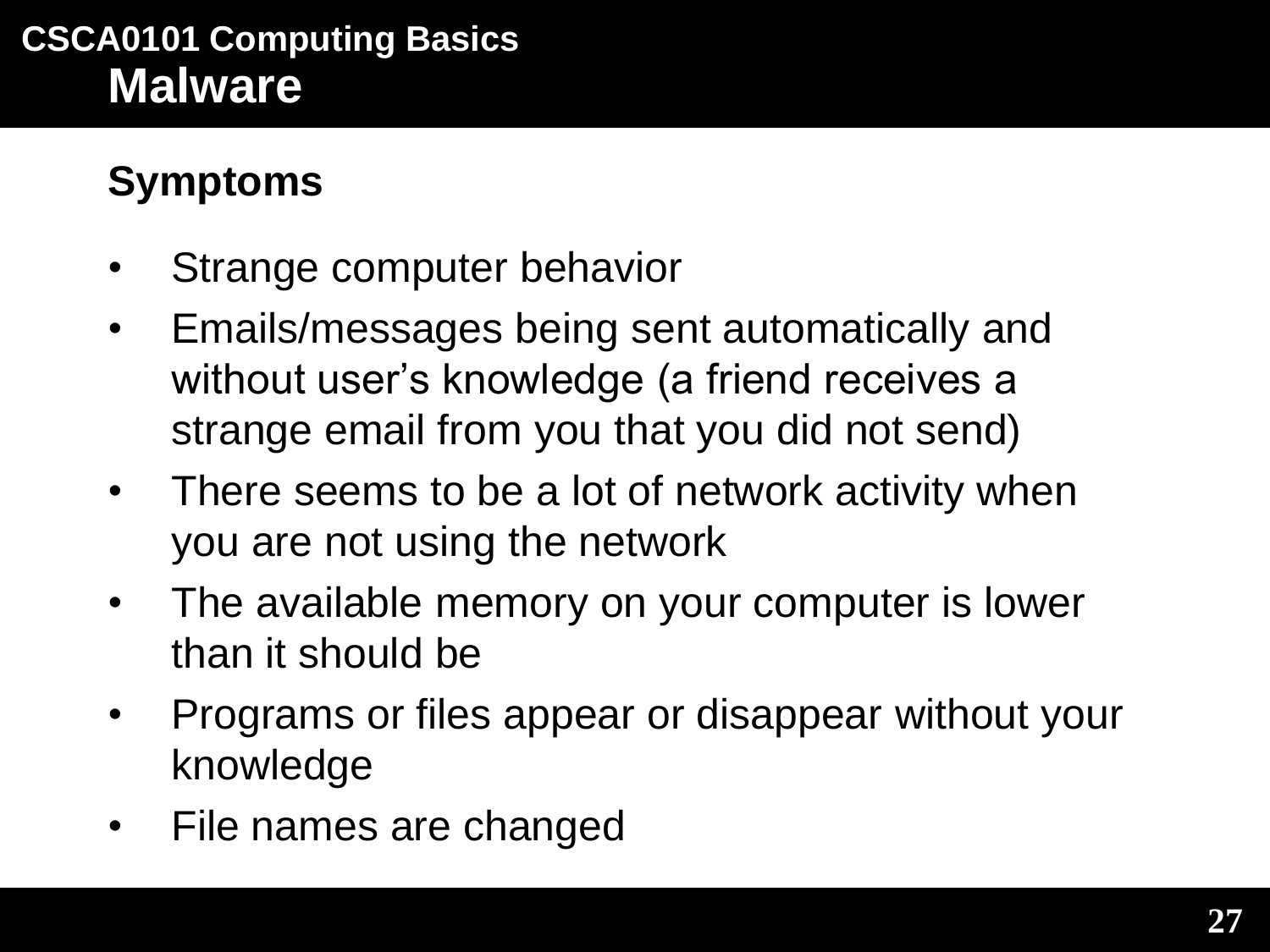## **Symptoms**

- Strange computer behavior
- Emails/messages being sent automatically and without user's knowledge (a friend receives a strange email from you that you did not send)
- There seems to be a lot of network activity when you are not using the network
- The available memory on your computer is lower than it should be
- Programs or files appear or disappear without your knowledge
- File names are changed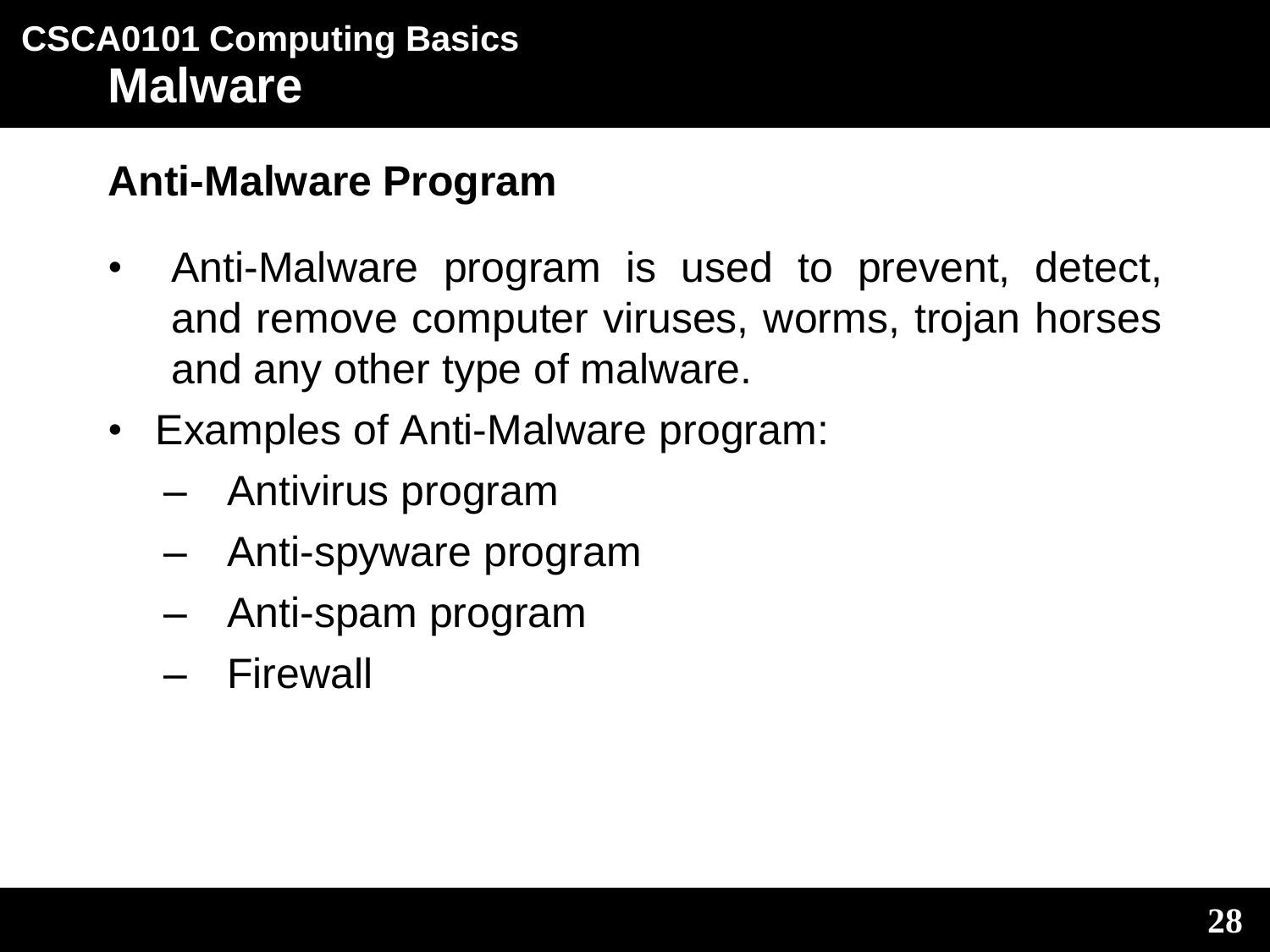# **Anti-Malware Program**

- Anti-Malware program is used to prevent, detect, and remove computer viruses, worms, trojan horses and any other type of malware.
- Examples of Anti-Malware program:
	- Antivirus program
	- Anti-spyware program
	- Anti-spam program
	- Firewall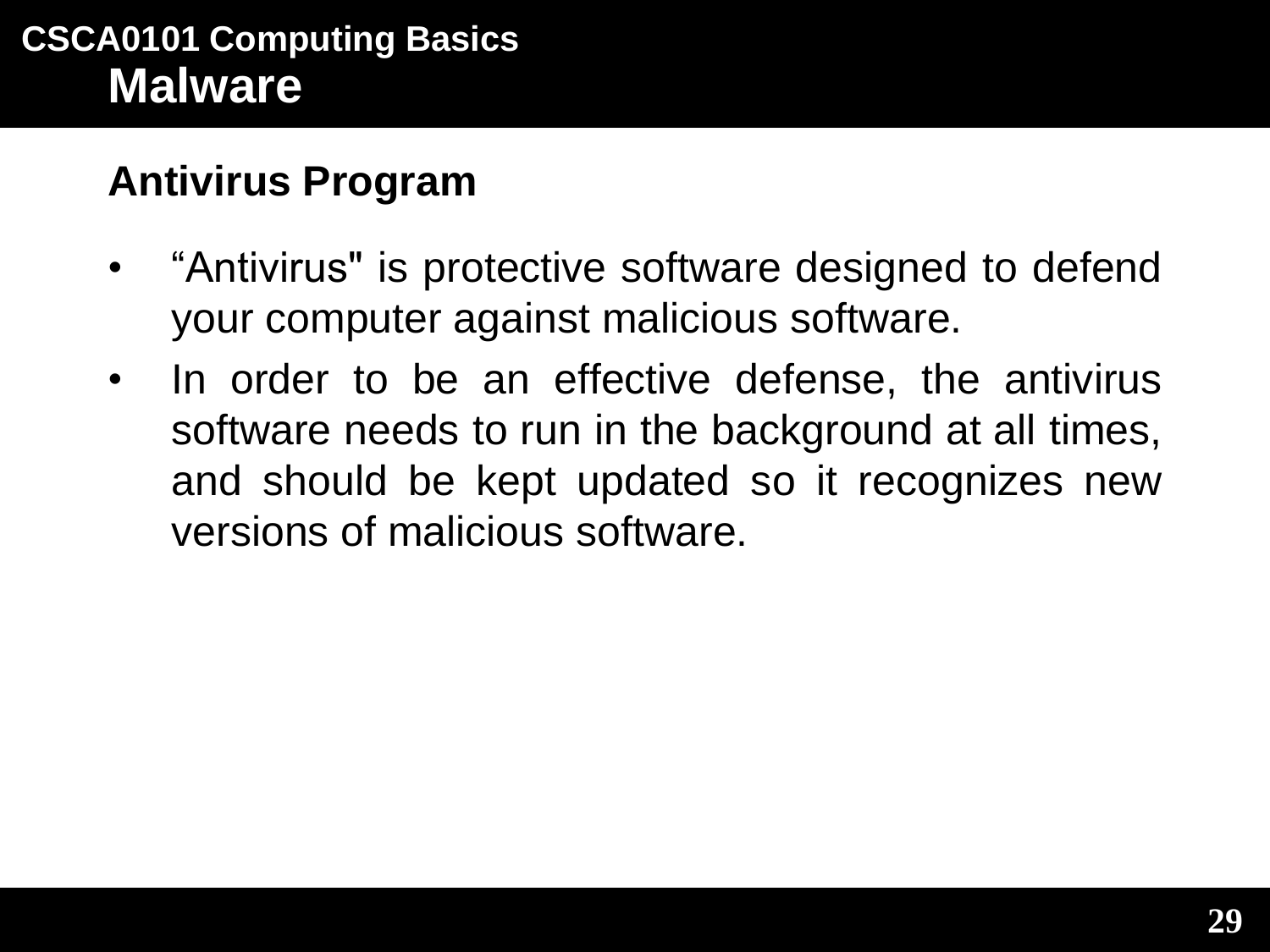### **Antivirus Program**

- "Antivirus" is protective software designed to defend your computer against malicious software.
- In order to be an effective defense, the antivirus software needs to run in the background at all times, and should be kept updated so it recognizes new versions of malicious software.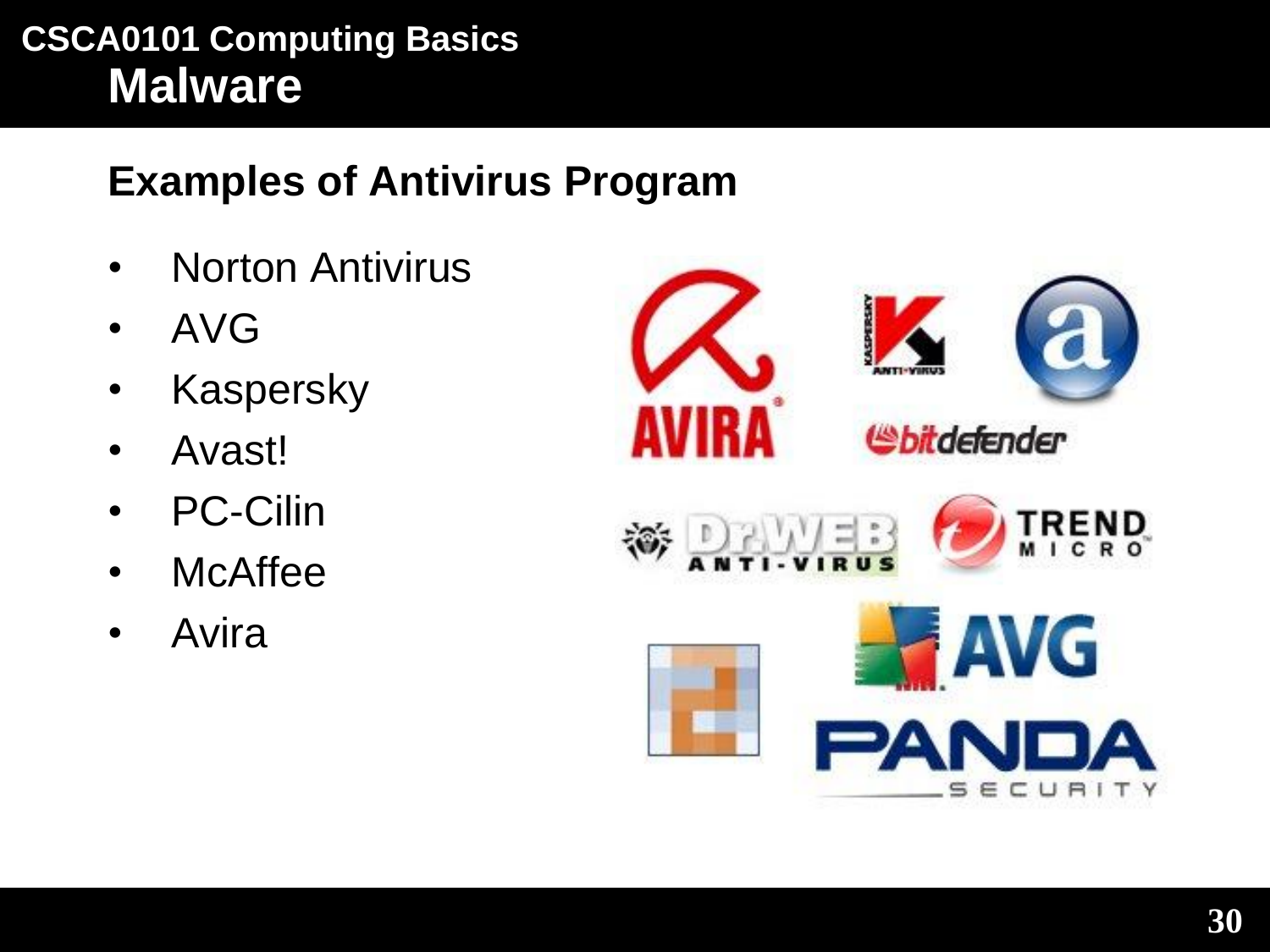# **Examples of Antivirus Program**

- Norton Antivirus
- AVG
- Kaspersky
- Avast!
- PC-Cilin
- McAffee
- Avira

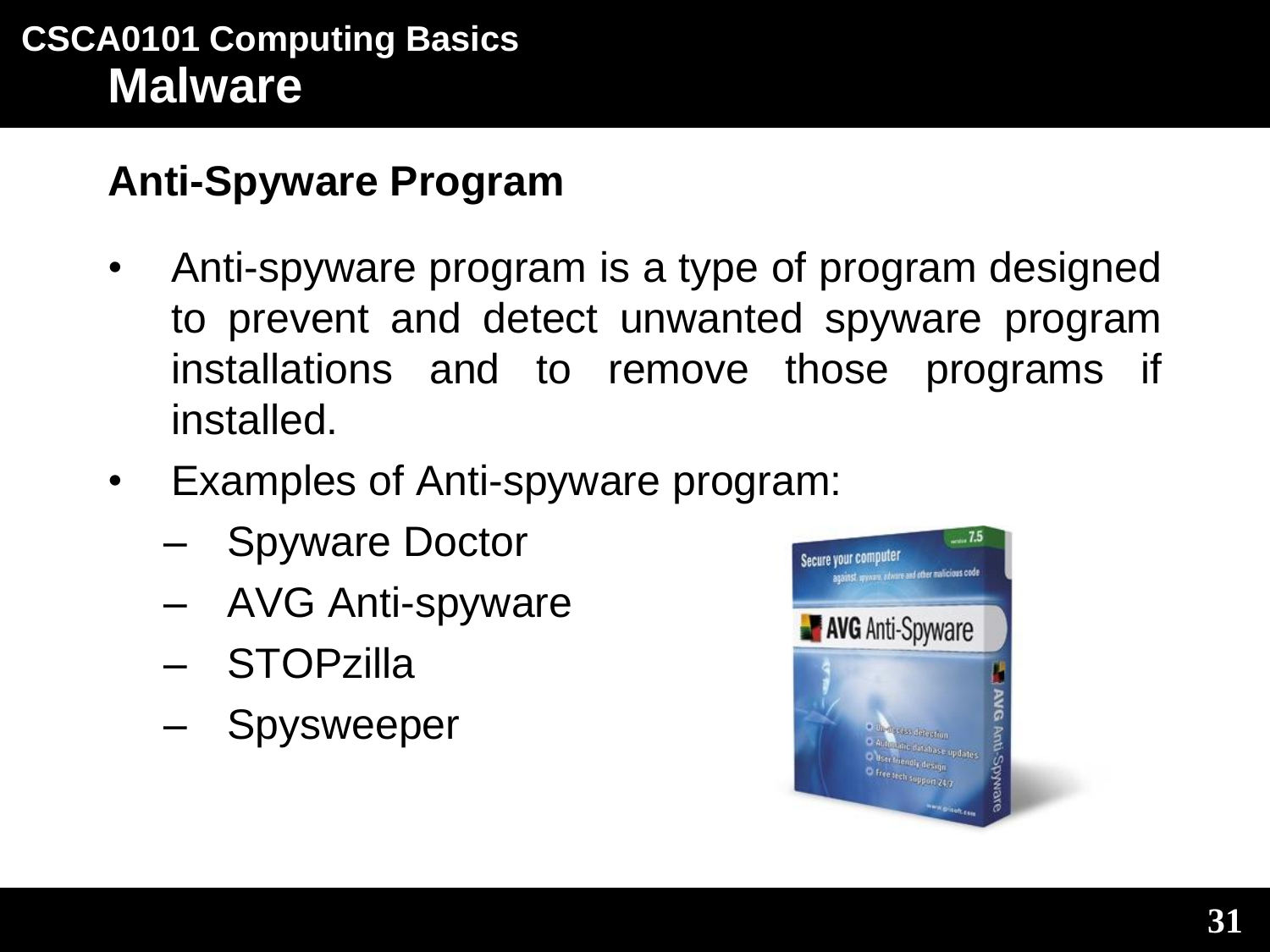# **Anti-Spyware Program**

- Anti-spyware program is a type of program designed to prevent and detect unwanted spyware program installations and to remove those programs if installed.
- Examples of Anti-spyware program:
	- Spyware Doctor
	- AVG Anti-spyware
	- STOPzilla
	- Spysweeper

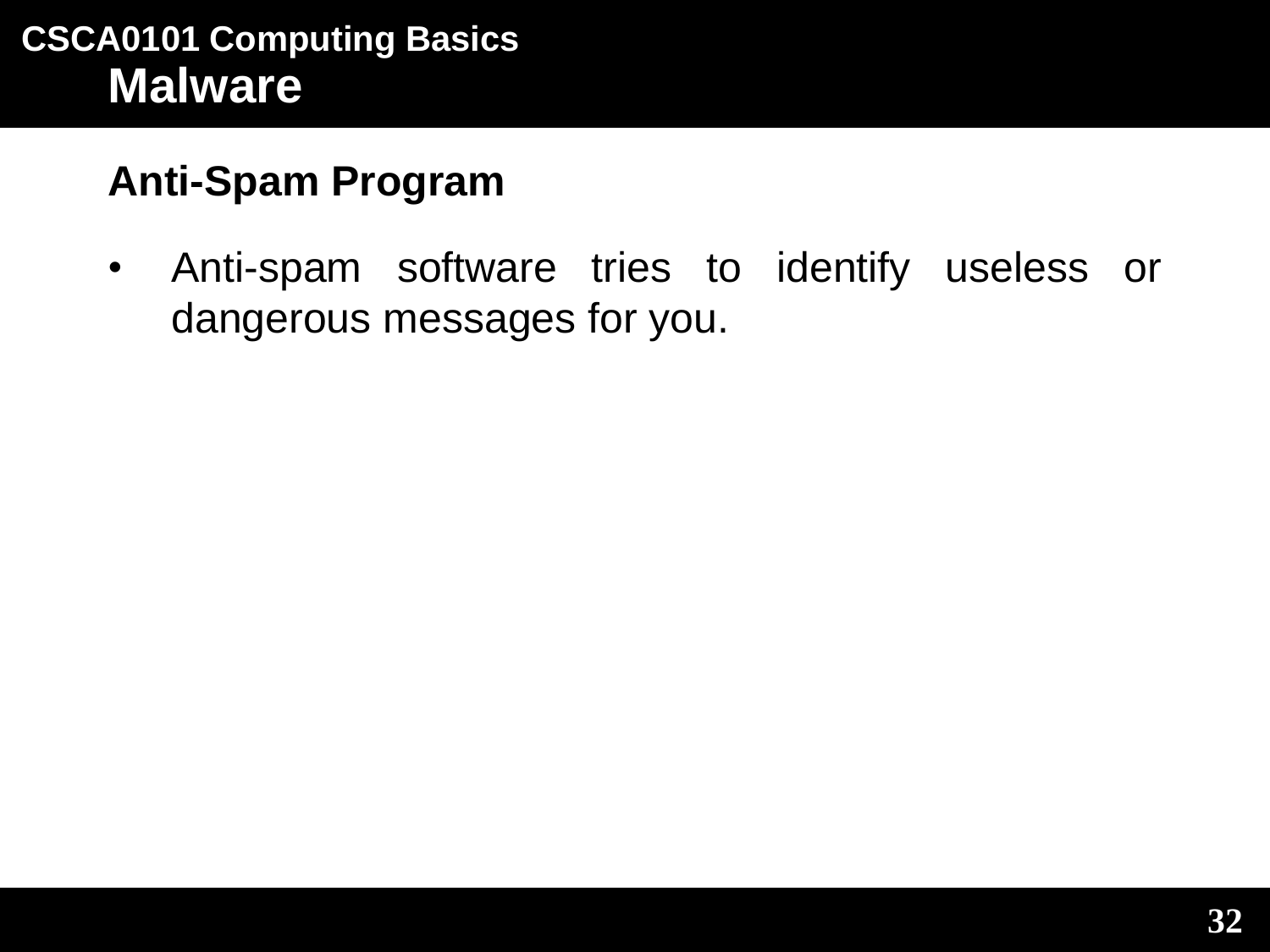# **Anti-Spam Program**

• Anti-spam software tries to identify useless or dangerous messages for you.